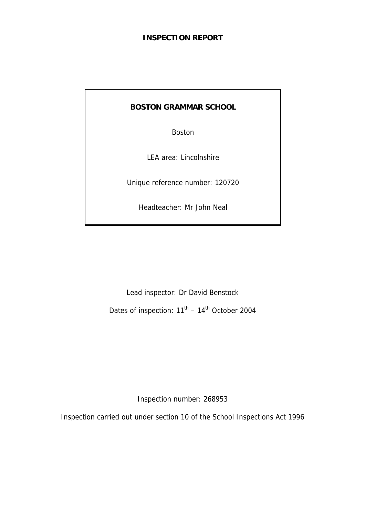#### **INSPECTION REPORT**

## **BOSTON GRAMMAR SCHOOL**

Boston

LEA area: Lincolnshire

Unique reference number: 120720

Headteacher: Mr John Neal

Lead inspector: Dr David Benstock Dates of inspection:  $11^{\text{th}} - 14^{\text{th}}$  October 2004

Inspection number: 268953

Inspection carried out under section 10 of the School Inspections Act 1996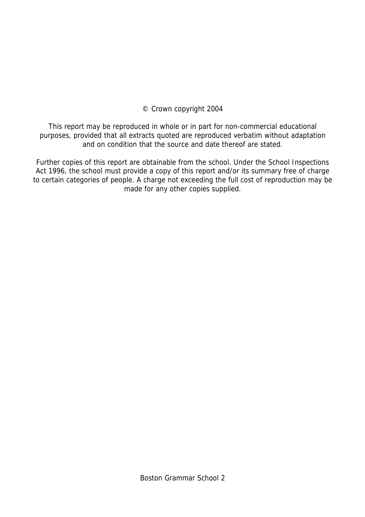#### © Crown copyright 2004

This report may be reproduced in whole or in part for non-commercial educational purposes, provided that all extracts quoted are reproduced verbatim without adaptation and on condition that the source and date thereof are stated.

Further copies of this report are obtainable from the school. Under the School Inspections Act 1996, the school must provide a copy of this report and/or its summary free of charge to certain categories of people. A charge not exceeding the full cost of reproduction may be made for any other copies supplied.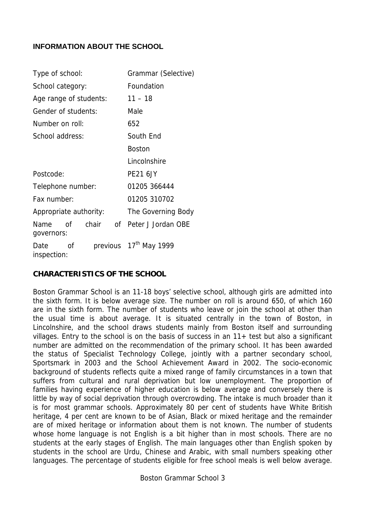#### **INFORMATION ABOUT THE SCHOOL**

| Type of school:        |    |       |                                    | Grammar (Selective) |  |  |
|------------------------|----|-------|------------------------------------|---------------------|--|--|
| School category:       |    |       | Foundation                         |                     |  |  |
| Age range of students: |    |       |                                    | $11 - 18$           |  |  |
| Gender of students:    |    |       |                                    | Male                |  |  |
| Number on roll:        |    |       |                                    | 652                 |  |  |
| School address:        |    |       |                                    | South End           |  |  |
|                        |    |       |                                    | <b>Boston</b>       |  |  |
|                        |    |       |                                    | Lincolnshire        |  |  |
| Postcode:              |    |       |                                    | <b>PE21 6JY</b>     |  |  |
| Telephone number:      |    |       |                                    | 01205 366444        |  |  |
| Fax number:            |    |       |                                    | 01205 310702        |  |  |
| Appropriate authority: |    |       |                                    | The Governing Body  |  |  |
| Name<br>governors:     | Ωf | chair | of                                 | Peter J Jordan OBE  |  |  |
| Date<br>inspection:    | Ωf |       | previous 17 <sup>th</sup> May 1999 |                     |  |  |

#### **CHARACTERISTICS OF THE SCHOOL**

Boston Grammar School is an 11-18 boys' selective school, although girls are admitted into the sixth form. It is below average size. The number on roll is around 650, of which 160 are in the sixth form. The number of students who leave or join the school at other than the usual time is about average. It is situated centrally in the town of Boston, in Lincolnshire, and the school draws students mainly from Boston itself and surrounding villages. Entry to the school is on the basis of success in an 11+ test but also a significant number are admitted on the recommendation of the primary school. It has been awarded the status of Specialist Technology College, jointly with a partner secondary school, Sportsmark in 2003 and the School Achievement Award in 2002. The socio-economic background of students reflects quite a mixed range of family circumstances in a town that suffers from cultural and rural deprivation but low unemployment. The proportion of families having experience of higher education is below average and conversely there is little by way of social deprivation through overcrowding. The intake is much broader than it is for most grammar schools. Approximately 80 per cent of students have White British heritage, 4 per cent are known to be of Asian, Black or mixed heritage and the remainder are of mixed heritage or information about them is not known. The number of students whose home language is not English is a bit higher than in most schools. There are no students at the early stages of English. The main languages other than English spoken by students in the school are Urdu, Chinese and Arabic, with small numbers speaking other languages. The percentage of students eligible for free school meals is well below average.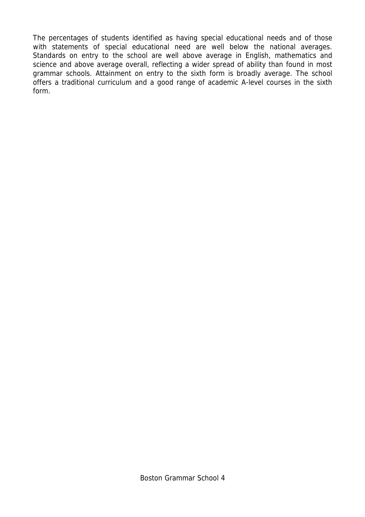The percentages of students identified as having special educational needs and of those with statements of special educational need are well below the national averages. Standards on entry to the school are well above average in English, mathematics and science and above average overall, reflecting a wider spread of ability than found in most grammar schools. Attainment on entry to the sixth form is broadly average. The school offers a traditional curriculum and a good range of academic A-level courses in the sixth form.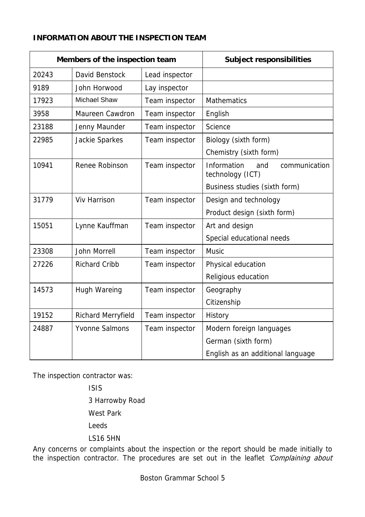#### **INFORMATION ABOUT THE INSPECTION TEAM**

| Members of the inspection team |                       |                | <b>Subject responsibilities</b>                         |  |
|--------------------------------|-----------------------|----------------|---------------------------------------------------------|--|
| 20243                          | David Benstock        | Lead inspector |                                                         |  |
| 9189                           | John Horwood          | Lay inspector  |                                                         |  |
| 17923                          | <b>Michael Shaw</b>   | Team inspector | <b>Mathematics</b>                                      |  |
| 3958                           | Maureen Cawdron       | Team inspector | English                                                 |  |
| 23188                          | Jenny Maunder         | Team inspector | <b>Science</b>                                          |  |
| 22985                          | Jackie Sparkes        | Team inspector | Biology (sixth form)                                    |  |
|                                |                       |                | Chemistry (sixth form)                                  |  |
| 10941                          | Renee Robinson        | Team inspector | Information<br>and<br>communication<br>technology (ICT) |  |
|                                |                       |                | Business studies (sixth form)                           |  |
| 31779                          | <b>Viv Harrison</b>   | Team inspector | Design and technology                                   |  |
|                                |                       |                | Product design (sixth form)                             |  |
| 15051                          | Lynne Kauffman        | Team inspector | Art and design                                          |  |
|                                |                       |                | Special educational needs                               |  |
| 23308                          | <b>John Morrell</b>   | Team inspector | <b>Music</b>                                            |  |
| 27226                          | <b>Richard Cribb</b>  | Team inspector | Physical education                                      |  |
|                                |                       |                | Religious education                                     |  |
| 14573                          | <b>Hugh Wareing</b>   | Team inspector | Geography                                               |  |
|                                |                       |                | Citizenship                                             |  |
| 19152                          | Richard Merryfield    | Team inspector | History                                                 |  |
| 24887                          | <b>Yvonne Salmons</b> | Team inspector | Modern foreign languages                                |  |
|                                |                       |                | German (sixth form)                                     |  |
|                                |                       |                | English as an additional language                       |  |

The inspection contractor was:

 ISIS 3 Harrowby Road West Park Leeds LS16 5HN

Any concerns or complaints about the inspection or the report should be made initially to the inspection contractor. The procedures are set out in the leaflet 'Complaining about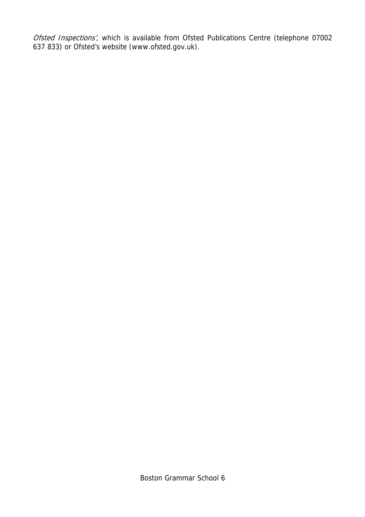Ofsted Inspections', which is available from Ofsted Publications Centre (telephone 07002 637 833) or Ofsted's website (www.ofsted.gov.uk).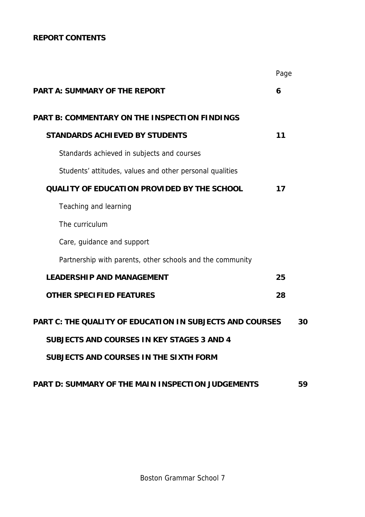## **REPORT CONTENTS**

|                                                                 | Page |    |
|-----------------------------------------------------------------|------|----|
| <b>PART A: SUMMARY OF THE REPORT</b>                            | 6    |    |
| <b>PART B: COMMENTARY ON THE INSPECTION FINDINGS</b>            |      |    |
| <b>STANDARDS ACHIEVED BY STUDENTS</b>                           | 11   |    |
| Standards achieved in subjects and courses                      |      |    |
| Students' attitudes, values and other personal qualities        |      |    |
| <b>QUALITY OF EDUCATION PROVIDED BY THE SCHOOL</b>              | 17   |    |
| Teaching and learning                                           |      |    |
| The curriculum                                                  |      |    |
| Care, guidance and support                                      |      |    |
| Partnership with parents, other schools and the community       |      |    |
| <b>LEADERSHIP AND MANAGEMENT</b>                                | 25   |    |
| <b>OTHER SPECIFIED FEATURES</b>                                 | 28   |    |
| <b>PART C: THE QUALITY OF EDUCATION IN SUBJECTS AND COURSES</b> |      | 30 |
| <b>SUBJECTS AND COURSES IN KEY STAGES 3 AND 4</b>               |      |    |
| SUBJECTS AND COURSES IN THE SIXTH FORM                          |      |    |
| PART D: SUMMARY OF THE MAIN INSPECTION JUDGEMENTS               |      | 59 |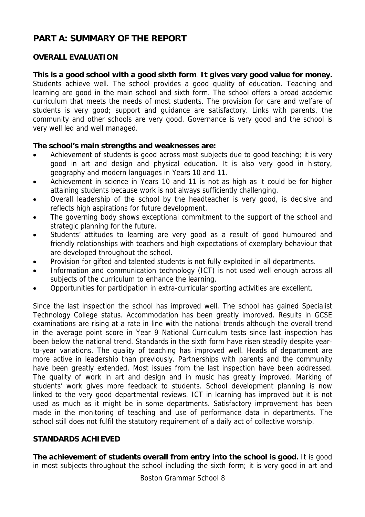# **PART A: SUMMARY OF THE REPORT**

## **OVERALL EVALUATION**

**This is a good school with a good sixth form**. **It gives very good value for money.** Students achieve well. The school provides a good quality of education. Teaching and learning are good in the main school and sixth form. The school offers a broad academic curriculum that meets the needs of most students. The provision for care and welfare of students is very good; support and guidance are satisfactory. Links with parents, the community and other schools are very good. Governance is very good and the school is very well led and well managed.

#### **The school's main strengths and weaknesses are:**

- Achievement of students is good across most subjects due to good teaching; it is very good in art and design and physical education. It is also very good in history, geography and modern languages in Years 10 and 11.
- Achievement in science in Years 10 and 11 is not as high as it could be for higher attaining students because work is not always sufficiently challenging.
- Overall leadership of the school by the headteacher is very good, is decisive and reflects high aspirations for future development.
- The governing body shows exceptional commitment to the support of the school and strategic planning for the future.
- Students' attitudes to learning are very good as a result of good humoured and friendly relationships with teachers and high expectations of exemplary behaviour that are developed throughout the school.
- Provision for gifted and talented students is not fully exploited in all departments.
- Information and communication technology (ICT) is not used well enough across all subjects of the curriculum to enhance the learning.
- Opportunities for participation in extra-curricular sporting activities are excellent.

Since the last inspection the school has improved well. The school has gained Specialist Technology College status. Accommodation has been greatly improved. Results in GCSE examinations are rising at a rate in line with the national trends although the overall trend in the average point score in Year 9 National Curriculum tests since last inspection has been below the national trend. Standards in the sixth form have risen steadily despite yearto-year variations. The quality of teaching has improved well. Heads of department are more active in leadership than previously. Partnerships with parents and the community have been greatly extended. Most issues from the last inspection have been addressed. The quality of work in art and design and in music has greatly improved. Marking of students' work gives more feedback to students. School development planning is now linked to the very good departmental reviews. ICT in learning has improved but it is not used as much as it might be in some departments. Satisfactory improvement has been made in the monitoring of teaching and use of performance data in departments. The school still does not fulfil the statutory requirement of a daily act of collective worship.

#### **STANDARDS ACHIEVED**

**The achievement of students overall from entry into the school is good.** It is good in most subjects throughout the school including the sixth form; it is very good in art and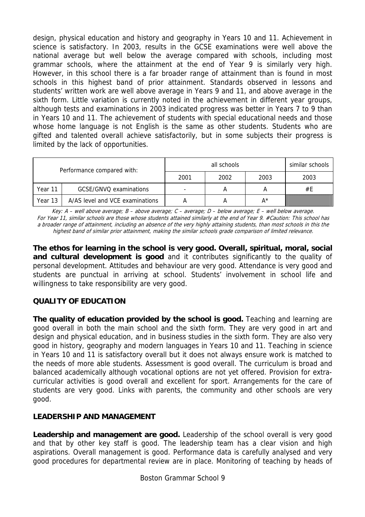design, physical education and history and geography in Years 10 and 11. Achievement in science is satisfactory. In 2003, results in the GCSE examinations were well above the national average but well below the average compared with schools, including most grammar schools, where the attainment at the end of Year 9 is similarly very high. However, in this school there is a far broader range of attainment than is found in most schools in this highest band of prior attainment. Standards observed in lessons and students' written work are well above average in Years 9 and 11, and above average in the sixth form. Little variation is currently noted in the achievement in different year groups, although tests and examinations in 2003 indicated progress was better in Years 7 to 9 than in Years 10 and 11. The achievement of students with special educational needs and those whose home language is not English is the same as other students. Students who are gifted and talented overall achieve satisfactorily, but in some subjects their progress is limited by the lack of opportunities.

| Performance compared with:                 |                        |      | all schools |      | similar schools |
|--------------------------------------------|------------------------|------|-------------|------|-----------------|
|                                            |                        | 2001 | 2002        | 2003 | 2003            |
| Year 11                                    | GCSE/GNVO examinations |      |             |      | #E              |
| A/AS level and VCE examinations<br>Year 13 |                        |      |             | A*   |                 |

Key: A – well above average; B – above average; C – average; D – below average; E – well below average. For Year 11, similar schools are those whose students attained similarly at the end of Year 9. #Caution: This school has a broader range of attainment, including an absence of the very highly attaining students, than most schools in this the highest band of similar prior attainment, making the similar schools grade comparison of limited relevance.

**The ethos for learning in the school is very good. Overall, spiritual, moral, social and cultural development is good** and it contributes significantly to the quality of personal development. Attitudes and behaviour are very good. Attendance is very good and students are punctual in arriving at school. Students' involvement in school life and willingness to take responsibility are very good.

## **QUALITY OF EDUCATION**

**The quality of education provided by the school is good.** Teaching and learning are good overall in both the main school and the sixth form. They are very good in art and design and physical education, and in business studies in the sixth form. They are also very good in history, geography and modern languages in Years 10 and 11. Teaching in science in Years 10 and 11 is satisfactory overall but it does not always ensure work is matched to the needs of more able students. Assessment is good overall. The curriculum is broad and balanced academically although vocational options are not yet offered. Provision for extracurricular activities is good overall and excellent for sport. Arrangements for the care of students are very good. Links with parents, the community and other schools are very good.

## **LEADERSHIP AND MANAGEMENT**

**Leadership and management are good.** Leadership of the school overall is very good and that by other key staff is good. The leadership team has a clear vision and high aspirations. Overall management is good. Performance data is carefully analysed and very good procedures for departmental review are in place. Monitoring of teaching by heads of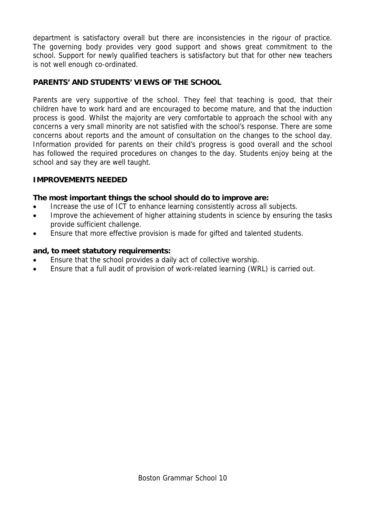department is satisfactory overall but there are inconsistencies in the rigour of practice. The governing body provides very good support and shows great commitment to the school. Support for newly qualified teachers is satisfactory but that for other new teachers is not well enough co-ordinated.

## **PARENTS' AND STUDENTS' VIEWS OF THE SCHOOL**

Parents are very supportive of the school. They feel that teaching is good, that their children have to work hard and are encouraged to become mature, and that the induction process is good. Whilst the majority are very comfortable to approach the school with any concerns a very small minority are not satisfied with the school's response. There are some concerns about reports and the amount of consultation on the changes to the school day. Information provided for parents on their child's progress is good overall and the school has followed the required procedures on changes to the day. Students enjoy being at the school and say they are well taught.

#### **IMPROVEMENTS NEEDED**

#### **The most important things the school should do to improve are:**

- Increase the use of ICT to enhance learning consistently across all subjects.
- Improve the achievement of higher attaining students in science by ensuring the tasks provide sufficient challenge.
- Ensure that more effective provision is made for gifted and talented students.

#### **and, to meet statutory requirements:**

- Ensure that the school provides a daily act of collective worship.
- Ensure that a full audit of provision of work-related learning (WRL) is carried out.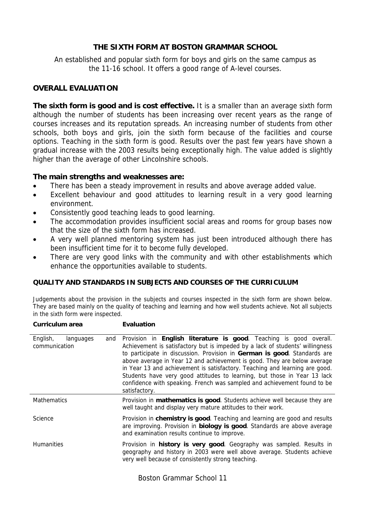#### **THE SIXTH FORM AT BOSTON GRAMMAR SCHOOL**

An established and popular sixth form for boys and girls on the same campus as the 11-16 school. It offers a good range of A-level courses.

#### **OVERALL EVALUATION**

**The sixth form is good and is cost effective.** It is a smaller than an average sixth form although the number of students has been increasing over recent years as the range of courses increases and its reputation spreads. An increasing number of students from other schools, both boys and girls, join the sixth form because of the facilities and course options. Teaching in the sixth form is good. Results over the past few years have shown a gradual increase with the 2003 results being exceptionally high. The value added is slightly higher than the average of other Lincolnshire schools.

#### **The main strengths and weaknesses are:**

- There has been a steady improvement in results and above average added value.
- Excellent behaviour and good attitudes to learning result in a very good learning environment.
- Consistently good teaching leads to good learning.
- The accommodation provides insufficient social areas and rooms for group bases now that the size of the sixth form has increased.
- A very well planned mentoring system has just been introduced although there has been insufficient time for it to become fully developed.
- There are very good links with the community and with other establishments which enhance the opportunities available to students.

#### **QUALITY AND STANDARDS IN SUBJECTS AND COURSES OF THE CURRICULUM**

Judgements about the provision in the subjects and courses inspected in the sixth form are shown below. They are based mainly on the quality of teaching and learning and how well students achieve. Not all subjects in the sixth form were inspected.

| Curriculum area                               | <b>Evaluation</b>                                                                                                                                                                                                                                                                                                                                                                                                                                                                                                                                                   |
|-----------------------------------------------|---------------------------------------------------------------------------------------------------------------------------------------------------------------------------------------------------------------------------------------------------------------------------------------------------------------------------------------------------------------------------------------------------------------------------------------------------------------------------------------------------------------------------------------------------------------------|
| English,<br>languages<br>and<br>communication | Provision in English literature is good. Teaching is good overall.<br>Achievement is satisfactory but is impeded by a lack of students' willingness<br>to participate in discussion. Provision in German is good. Standards are<br>above average in Year 12 and achievement is good. They are below average<br>in Year 13 and achievement is satisfactory. Teaching and learning are good.<br>Students have very good attitudes to learning, but those in Year 13 lack<br>confidence with speaking. French was sampled and achievement found to be<br>satisfactory. |
| <b>Mathematics</b>                            | Provision in <b>mathematics is good</b> . Students achieve well because they are<br>well taught and display very mature attitudes to their work.                                                                                                                                                                                                                                                                                                                                                                                                                    |
| Science                                       | Provision in chemistry is good. Teaching and learning are good and results<br>are improving. Provision in <b>biology is good</b> . Standards are above average<br>and examination results continue to improve.                                                                                                                                                                                                                                                                                                                                                      |
| <b>Humanities</b>                             | Provision in <b>history is very good</b> . Geography was sampled. Results in<br>geography and history in 2003 were well above average. Students achieve<br>very well because of consistently strong teaching.                                                                                                                                                                                                                                                                                                                                                       |

Boston Grammar School 11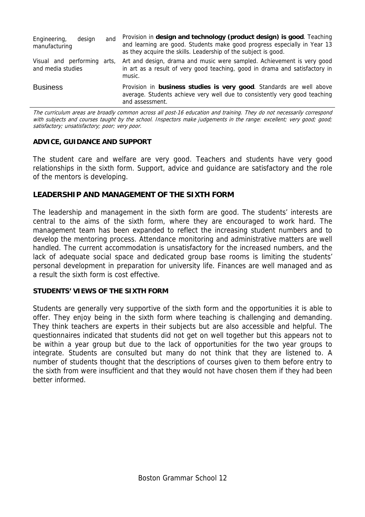| Engineering,<br>design<br>manufacturing          | and | Provision in design and technology (product design) is good. Teaching<br>and learning are good. Students make good progress especially in Year 13<br>as they acquire the skills. Leadership of the subject is good. |
|--------------------------------------------------|-----|---------------------------------------------------------------------------------------------------------------------------------------------------------------------------------------------------------------------|
| Visual and performing arts,<br>and media studies |     | Art and design, drama and music were sampled. Achievement is very good<br>in art as a result of very good teaching, good in drama and satisfactory in<br>music.                                                     |
| <b>Business</b>                                  |     | Provision in business studies is very good. Standards are well above<br>average. Students achieve very well due to consistently very good teaching<br>and assessment.                                               |

The curriculum areas are broadly common across all post-16 education and training. They do not necessarily correspond with subjects and courses taught by the school. Inspectors make judgements in the range: excellent; very good; good; satisfactory; unsatisfactory; poor; very poor.

#### **ADVICE, GUIDANCE AND SUPPORT**

The student care and welfare are very good. Teachers and students have very good relationships in the sixth form. Support, advice and guidance are satisfactory and the role of the mentors is developing.

#### **LEADERSHIP AND MANAGEMENT OF THE SIXTH FORM**

The leadership and management in the sixth form are good. The students' interests are central to the aims of the sixth form, where they are encouraged to work hard. The management team has been expanded to reflect the increasing student numbers and to develop the mentoring process. Attendance monitoring and administrative matters are well handled. The current accommodation is unsatisfactory for the increased numbers, and the lack of adequate social space and dedicated group base rooms is limiting the students' personal development in preparation for university life. Finances are well managed and as a result the sixth form is cost effective.

#### **STUDENTS' VIEWS OF THE SIXTH FORM**

Students are generally very supportive of the sixth form and the opportunities it is able to offer. They enjoy being in the sixth form where teaching is challenging and demanding. They think teachers are experts in their subjects but are also accessible and helpful. The questionnaires indicated that students did not get on well together but this appears not to be within a year group but due to the lack of opportunities for the two year groups to integrate. Students are consulted but many do not think that they are listened to. A number of students thought that the descriptions of courses given to them before entry to the sixth from were insufficient and that they would not have chosen them if they had been better informed.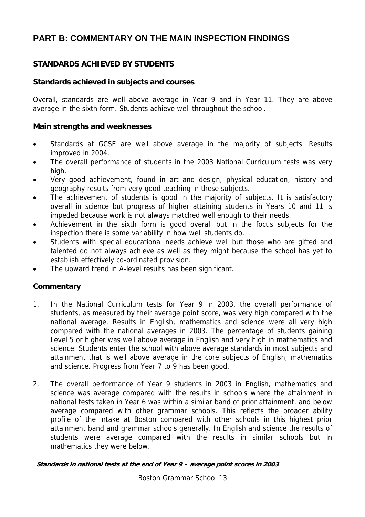# **PART B: COMMENTARY ON THE MAIN INSPECTION FINDINGS**

#### **STANDARDS ACHIEVED BY STUDENTS**

#### **Standards achieved in subjects and courses**

Overall, standards are well above average in Year 9 and in Year 11. They are above average in the sixth form. Students achieve well throughout the school.

#### **Main strengths and weaknesses**

- Standards at GCSE are well above average in the majority of subjects. Results improved in 2004.
- The overall performance of students in the 2003 National Curriculum tests was very high.
- Very good achievement, found in art and design, physical education, history and geography results from very good teaching in these subjects.
- The achievement of students is good in the majority of subjects. It is satisfactory overall in science but progress of higher attaining students in Years 10 and 11 is impeded because work is not always matched well enough to their needs.
- Achievement in the sixth form is good overall but in the focus subjects for the inspection there is some variability in how well students do.
- Students with special educational needs achieve well but those who are gifted and talented do not always achieve as well as they might because the school has yet to establish effectively co-ordinated provision.
- The upward trend in A-level results has been significant.

#### **Commentary**

- 1. In the National Curriculum tests for Year 9 in 2003, the overall performance of students, as measured by their average point score, was very high compared with the national average. Results in English, mathematics and science were all very high compared with the national averages in 2003. The percentage of students gaining Level 5 or higher was well above average in English and very high in mathematics and science. Students enter the school with above average standards in most subjects and attainment that is well above average in the core subjects of English, mathematics and science. Progress from Year 7 to 9 has been good.
- 2. The overall performance of Year 9 students in 2003 in English, mathematics and science was average compared with the results in schools where the attainment in national tests taken in Year 6 was within a similar band of prior attainment, and below average compared with other grammar schools. This reflects the broader ability profile of the intake at Boston compared with other schools in this highest prior attainment band and grammar schools generally. In English and science the results of students were average compared with the results in similar schools but in mathematics they were below.

**Standards in national tests at the end of Year 9 – average point scores in 2003** 

Boston Grammar School 13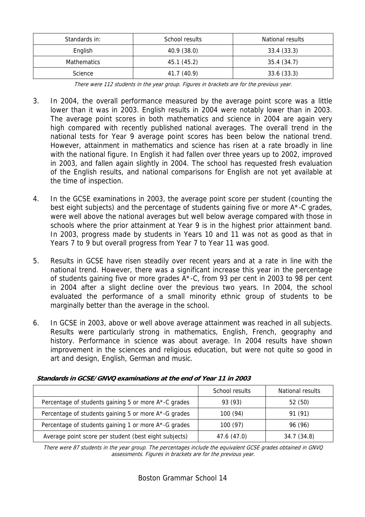| Standards in:      | School results | National results |
|--------------------|----------------|------------------|
| English            | 40.9 (38.0)    | 33.4(33.3)       |
| <b>Mathematics</b> | 45.1 (45.2)    | 35.4(34.7)       |
| Science            | 41.7 (40.9)    | 33.6(33.3)       |

There were 112 students in the year group. Figures in brackets are for the previous year.

- 3. In 2004, the overall performance measured by the average point score was a little lower than it was in 2003. English results in 2004 were notably lower than in 2003. The average point scores in both mathematics and science in 2004 are again very high compared with recently published national averages. The overall trend in the national tests for Year 9 average point scores has been below the national trend. However, attainment in mathematics and science has risen at a rate broadly in line with the national figure. In English it had fallen over three years up to 2002, improved in 2003, and fallen again slightly in 2004. The school has requested fresh evaluation of the English results, and national comparisons for English are not yet available at the time of inspection.
- 4. In the GCSE examinations in 2003, the average point score per student (counting the best eight subjects) and the percentage of students gaining five or more A\*-C grades, were well above the national averages but well below average compared with those in schools where the prior attainment at Year 9 is in the highest prior attainment band. In 2003, progress made by students in Years 10 and 11 was not as good as that in Years 7 to 9 but overall progress from Year 7 to Year 11 was good.
- 5. Results in GCSE have risen steadily over recent years and at a rate in line with the national trend. However, there was a significant increase this year in the percentage of students gaining five or more grades A\*-C, from 93 per cent in 2003 to 98 per cent in 2004 after a slight decline over the previous two years. In 2004, the school evaluated the performance of a small minority ethnic group of students to be marginally better than the average in the school.
- 6. In GCSE in 2003, above or well above average attainment was reached in all subjects. Results were particularly strong in mathematics, English, French, geography and history. Performance in science was about average. In 2004 results have shown improvement in the sciences and religious education, but were not quite so good in art and design, English, German and music.

|                                                       | School results | National results |
|-------------------------------------------------------|----------------|------------------|
| Percentage of students gaining 5 or more A*-C grades  | 93 (93)        | 52 (50)          |
| Percentage of students gaining 5 or more A*-G grades  | 100 (94)       | 91 (91)          |
| Percentage of students gaining 1 or more A*-G grades  | 100(97)        | 96 (96)          |
| Average point score per student (best eight subjects) | 47.6 (47.0)    | 34.7 (34.8)      |

**Standards in GCSE/GNVQ examinations at the end of Year 11 in 2003** 

There were 87 students in the year group. The percentages include the equivalent GCSE grades obtained in GNVQ assessments. Figures in brackets are for the previous year.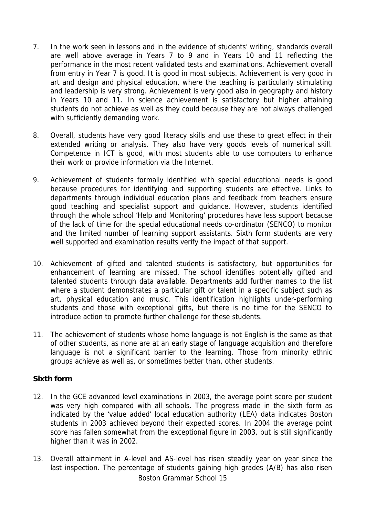- 7. In the work seen in lessons and in the evidence of students' writing, standards overall are well above average in Years 7 to 9 and in Years 10 and 11 reflecting the performance in the most recent validated tests and examinations. Achievement overall from entry in Year 7 is good. It is good in most subjects. Achievement is very good in art and design and physical education, where the teaching is particularly stimulating and leadership is very strong. Achievement is very good also in geography and history in Years 10 and 11. In science achievement is satisfactory but higher attaining students do not achieve as well as they could because they are not always challenged with sufficiently demanding work.
- 8. Overall, students have very good literacy skills and use these to great effect in their extended writing or analysis. They also have very goods levels of numerical skill. Competence in ICT is good, with most students able to use computers to enhance their work or provide information via the Internet.
- 9. Achievement of students formally identified with special educational needs is good because procedures for identifying and supporting students are effective. Links to departments through individual education plans and feedback from teachers ensure good teaching and specialist support and guidance. However, students identified through the whole school 'Help and Monitoring' procedures have less support because of the lack of time for the special educational needs co-ordinator (SENCO) to monitor and the limited number of learning support assistants. Sixth form students are very well supported and examination results verify the impact of that support.
- 10. Achievement of gifted and talented students is satisfactory, but opportunities for enhancement of learning are missed. The school identifies potentially gifted and talented students through data available. Departments add further names to the list where a student demonstrates a particular gift or talent in a specific subject such as art, physical education and music. This identification highlights under-performing students and those with exceptional gifts, but there is no time for the SENCO to introduce action to promote further challenge for these students.
- 11. The achievement of students whose home language is not English is the same as that of other students, as none are at an early stage of language acquisition and therefore language is not a significant barrier to the learning. Those from minority ethnic groups achieve as well as, or sometimes better than, other students.

#### **Sixth form**

- 12. In the GCE advanced level examinations in 2003, the average point score per student was very high compared with all schools. The progress made in the sixth form as indicated by the 'value added' local education authority (LEA) data indicates Boston students in 2003 achieved beyond their expected scores. In 2004 the average point score has fallen somewhat from the exceptional figure in 2003, but is still significantly higher than it was in 2002.
- Boston Grammar School 15 13. Overall attainment in A-level and AS-level has risen steadily year on year since the last inspection. The percentage of students gaining high grades (A/B) has also risen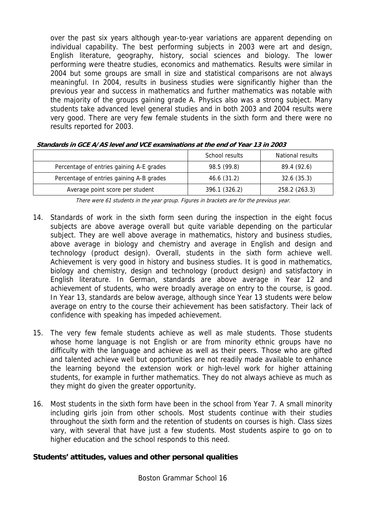over the past six years although year-to-year variations are apparent depending on individual capability. The best performing subjects in 2003 were art and design, English literature, geography, history, social sciences and biology. The lower performing were theatre studies, economics and mathematics. Results were similar in 2004 but some groups are small in size and statistical comparisons are not always meaningful. In 2004, results in business studies were significantly higher than the previous year and success in mathematics and further mathematics was notable with the majority of the groups gaining grade A. Physics also was a strong subject. Many students take advanced level general studies and in both 2003 and 2004 results were very good. There are very few female students in the sixth form and there were no results reported for 2003.

|                                          | School results | National results |
|------------------------------------------|----------------|------------------|
| Percentage of entries gaining A-E grades | 98.5 (99.8)    | 89.4 (92.6)      |
| Percentage of entries gaining A-B grades | 46.6 (31.2)    | 32.6(35.3)       |
| Average point score per student          | 396.1 (326.2)  | 258.2 (263.3)    |

**Standards in GCE A/AS level and VCE examinations at the end of Year 13 in 2003** 

There were 61 students in the year group. Figures in brackets are for the previous year.

- 14. Standards of work in the sixth form seen during the inspection in the eight focus subjects are above average overall but quite variable depending on the particular subject. They are well above average in mathematics, history and business studies, above average in biology and chemistry and average in English and design and technology (product design). Overall, students in the sixth form achieve well. Achievement is very good in history and business studies. It is good in mathematics, biology and chemistry, design and technology (product design) and satisfactory in English literature. In German, standards are above average in Year 12 and achievement of students, who were broadly average on entry to the course, is good. In Year 13, standards are below average, although since Year 13 students were below average on entry to the course their achievement has been satisfactory. Their lack of confidence with speaking has impeded achievement.
- 15. The very few female students achieve as well as male students. Those students whose home language is not English or are from minority ethnic groups have no difficulty with the language and achieve as well as their peers. Those who are gifted and talented achieve well but opportunities are not readily made available to enhance the learning beyond the extension work or high-level work for higher attaining students, for example in further mathematics. They do not always achieve as much as they might do given the greater opportunity.
- 16. Most students in the sixth form have been in the school from Year 7. A small minority including girls join from other schools. Most students continue with their studies throughout the sixth form and the retention of students on courses is high. Class sizes vary, with several that have just a few students. Most students aspire to go on to higher education and the school responds to this need.

#### **Students' attitudes, values and other personal qualities**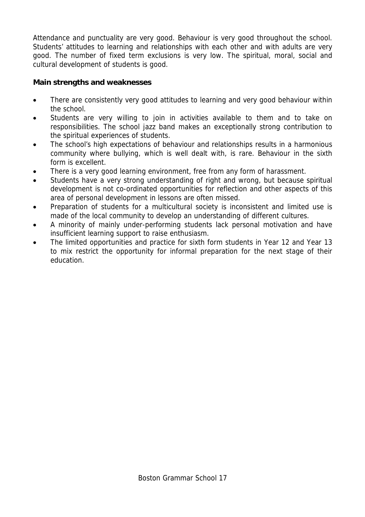Attendance and punctuality are very good. Behaviour is very good throughout the school. Students' attitudes to learning and relationships with each other and with adults are very good. The number of fixed term exclusions is very low. The spiritual, moral, social and cultural development of students is good.

## **Main strengths and weaknesses**

- There are consistently very good attitudes to learning and very good behaviour within the school.
- Students are very willing to join in activities available to them and to take on responsibilities. The school jazz band makes an exceptionally strong contribution to the spiritual experiences of students.
- The school's high expectations of behaviour and relationships results in a harmonious community where bullying, which is well dealt with, is rare. Behaviour in the sixth form is excellent.
- There is a very good learning environment, free from any form of harassment.
- Students have a very strong understanding of right and wrong, but because spiritual development is not co-ordinated opportunities for reflection and other aspects of this area of personal development in lessons are often missed.
- Preparation of students for a multicultural society is inconsistent and limited use is made of the local community to develop an understanding of different cultures.
- A minority of mainly under-performing students lack personal motivation and have insufficient learning support to raise enthusiasm.
- The limited opportunities and practice for sixth form students in Year 12 and Year 13 to mix restrict the opportunity for informal preparation for the next stage of their education.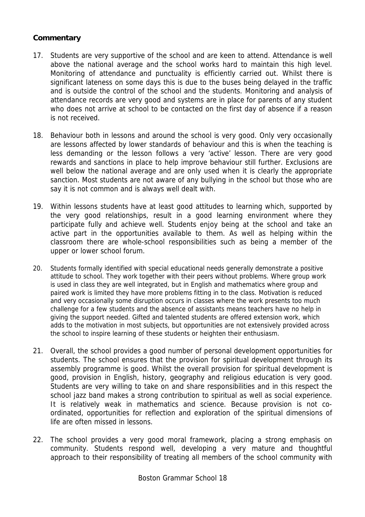- 17. Students are very supportive of the school and are keen to attend. Attendance is well above the national average and the school works hard to maintain this high level. Monitoring of attendance and punctuality is efficiently carried out. Whilst there is significant lateness on some days this is due to the buses being delayed in the traffic and is outside the control of the school and the students. Monitoring and analysis of attendance records are very good and systems are in place for parents of any student who does not arrive at school to be contacted on the first day of absence if a reason is not received.
- 18. Behaviour both in lessons and around the school is very good. Only very occasionally are lessons affected by lower standards of behaviour and this is when the teaching is less demanding or the lesson follows a very 'active' lesson. There are very good rewards and sanctions in place to help improve behaviour still further. Exclusions are well below the national average and are only used when it is clearly the appropriate sanction. Most students are not aware of any bullying in the school but those who are say it is not common and is always well dealt with.
- 19. Within lessons students have at least good attitudes to learning which, supported by the very good relationships, result in a good learning environment where they participate fully and achieve well. Students enjoy being at the school and take an active part in the opportunities available to them. As well as helping within the classroom there are whole-school responsibilities such as being a member of the upper or lower school forum.
- 20. Students formally identified with special educational needs generally demonstrate a positive attitude to school. They work together with their peers without problems. Where group work is used in class they are well integrated, but in English and mathematics where group and paired work is limited they have more problems fitting in to the class. Motivation is reduced and very occasionally some disruption occurs in classes where the work presents too much challenge for a few students and the absence of assistants means teachers have no help in giving the support needed. Gifted and talented students are offered extension work, which adds to the motivation in most subjects, but opportunities are not extensively provided across the school to inspire learning of these students or heighten their enthusiasm.
- 21. Overall, the school provides a good number of personal development opportunities for students. The school ensures that the provision for spiritual development through its assembly programme is good. Whilst the overall provision for spiritual development is good, provision in English, history, geography and religious education is very good. Students are very willing to take on and share responsibilities and in this respect the school jazz band makes a strong contribution to spiritual as well as social experience. It is relatively weak in mathematics and science. Because provision is not coordinated, opportunities for reflection and exploration of the spiritual dimensions of life are often missed in lessons.
- 22. The school provides a very good moral framework, placing a strong emphasis on community. Students respond well, developing a very mature and thoughtful approach to their responsibility of treating all members of the school community with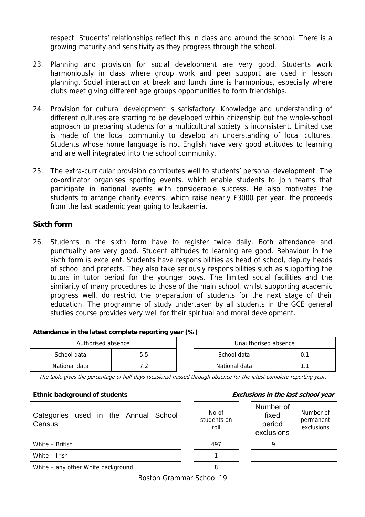respect. Students' relationships reflect this in class and around the school. There is a growing maturity and sensitivity as they progress through the school.

- 23. Planning and provision for social development are very good. Students work harmoniously in class where group work and peer support are used in lesson planning. Social interaction at break and lunch time is harmonious, especially where clubs meet giving different age groups opportunities to form friendships.
- 24. Provision for cultural development is satisfactory. Knowledge and understanding of different cultures are starting to be developed within citizenship but the whole-school approach to preparing students for a multicultural society is inconsistent. Limited use is made of the local community to develop an understanding of local cultures. Students whose home language is not English have very good attitudes to learning and are well integrated into the school community.
- 25. The extra-curricular provision contributes well to students' personal development. The co-ordinator organises sporting events, which enable students to join teams that participate in national events with considerable success. He also motivates the students to arrange charity events, which raise nearly £3000 per year, the proceeds from the last academic year going to leukaemia.

#### **Sixth form**

26. Students in the sixth form have to register twice daily. Both attendance and punctuality are very good. Student attitudes to learning are good. Behaviour in the sixth form is excellent. Students have responsibilities as head of school, deputy heads of school and prefects. They also take seriously responsibilities such as supporting the tutors in tutor period for the younger boys. The limited social facilities and the similarity of many procedures to those of the main school, whilst supporting academic progress well, do restrict the preparation of students for the next stage of their education. The programme of study undertaken by all students in the GCE general studies course provides very well for their spiritual and moral development.

#### **Attendance in the latest complete reporting year (%)**

| Authorised absence |     |  | Unauthorised absence |  |
|--------------------|-----|--|----------------------|--|
| School data        | 5.5 |  | School data          |  |
| National data      |     |  | National data        |  |

The table gives the percentage of half days (sessions) missed through absence for the latest complete reporting year.

| Categories used in the Annual School<br>Census | No of<br>students on<br>roll | <b>Numbe</b><br>fixe<br>perio<br>exclusi |
|------------------------------------------------|------------------------------|------------------------------------------|
| White - British                                | 497                          | 9                                        |
| White - Irish                                  |                              |                                          |
| White – any other White background             | 8                            |                                          |

#### **Ethnic background of students Exclusions in the last school year**

| No of<br>students on<br>roll |  | Number of<br>fixed<br>period<br>exclusions | Number of<br>permanent<br>exclusions |
|------------------------------|--|--------------------------------------------|--------------------------------------|
| 497                          |  |                                            |                                      |
|                              |  |                                            |                                      |
|                              |  |                                            |                                      |

Boston Grammar School 19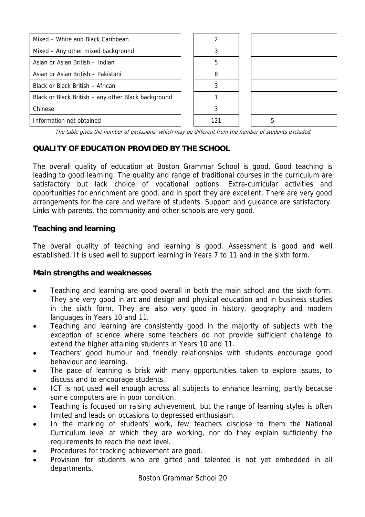| Mixed - White and Black Caribbean                   |     |   |  |
|-----------------------------------------------------|-----|---|--|
| Mixed - Any other mixed background                  |     |   |  |
| Asian or Asian British - Indian                     | 5   |   |  |
| Asian or Asian British - Pakistani                  | 8   |   |  |
| Black or Black British - African                    |     |   |  |
| Black or Black British - any other Black background |     |   |  |
| Chinese                                             |     |   |  |
| Information not obtained                            | 121 | 5 |  |

The table gives the number of exclusions, which may be different from the number of students excluded.

#### **QUALITY OF EDUCATION PROVIDED BY THE SCHOOL**

The overall quality of education at Boston Grammar School is good. Good teaching is leading to good learning. The quality and range of traditional courses in the curriculum are satisfactory but lack choice of vocational options. Extra-curricular activities and opportunities for enrichment are good, and in sport they are excellent. There are very good arrangements for the care and welfare of students. Support and guidance are satisfactory. Links with parents, the community and other schools are very good.

#### **Teaching and learning**

The overall quality of teaching and learning is good. Assessment is good and well established. It is used well to support learning in Years 7 to 11 and in the sixth form.

#### **Main strengths and weaknesses**

- Teaching and learning are good overall in both the main school and the sixth form. They are very good in art and design and physical education and in business studies in the sixth form. They are also very good in history, geography and modern languages in Years 10 and 11.
- Teaching and learning are consistently good in the majority of subjects with the exception of science where some teachers do not provide sufficient challenge to extend the higher attaining students in Years 10 and 11.
- Teachers' good humour and friendly relationships with students encourage good behaviour and learning.
- The pace of learning is brisk with many opportunities taken to explore issues, to discuss and to encourage students.
- ICT is not used well enough across all subjects to enhance learning, partly because some computers are in poor condition.
- Teaching is focused on raising achievement, but the range of learning styles is often limited and leads on occasions to depressed enthusiasm.
- In the marking of students' work, few teachers disclose to them the National Curriculum level at which they are working, nor do they explain sufficiently the requirements to reach the next level.
- Procedures for tracking achievement are good.
- Provision for students who are gifted and talented is not yet embedded in all departments.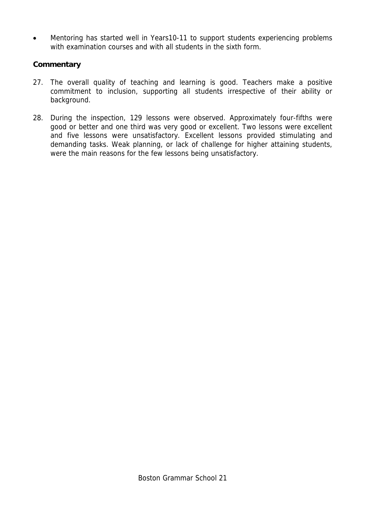• Mentoring has started well in Years10-11 to support students experiencing problems with examination courses and with all students in the sixth form.

- 27. The overall quality of teaching and learning is good. Teachers make a positive commitment to inclusion, supporting all students irrespective of their ability or background.
- 28. During the inspection, 129 lessons were observed. Approximately four-fifths were good or better and one third was very good or excellent. Two lessons were excellent and five lessons were unsatisfactory. Excellent lessons provided stimulating and demanding tasks. Weak planning, or lack of challenge for higher attaining students, were the main reasons for the few lessons being unsatisfactory.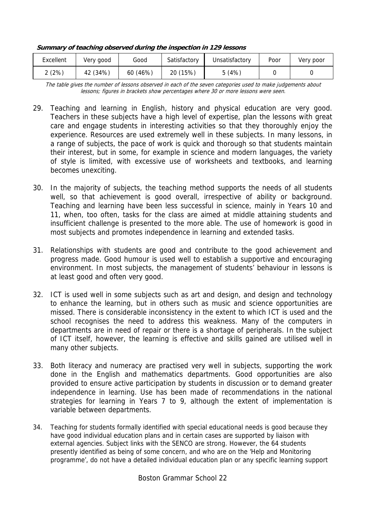| Excellent | Very good | Good     | Satisfactory | Unsatisfactory | Poor | Very poor |
|-----------|-----------|----------|--------------|----------------|------|-----------|
| 2(2%)     | 42 (34%)  | 60 (46%) | 20 (15%)     | 5(4%)          |      |           |

**Summary of teaching observed during the inspection in 129 lessons** 

The table gives the number of lessons observed in each of the seven categories used to make judgements about lessons; figures in brackets show percentages where 30 or more lessons were seen.

- 29. Teaching and learning in English, history and physical education are very good. Teachers in these subjects have a high level of expertise, plan the lessons with great care and engage students in interesting activities so that they thoroughly enjoy the experience. Resources are used extremely well in these subjects. In many lessons, in a range of subjects, the pace of work is quick and thorough so that students maintain their interest, but in some, for example in science and modern languages, the variety of style is limited, with excessive use of worksheets and textbooks, and learning becomes unexciting.
- 30. In the majority of subjects, the teaching method supports the needs of all students well, so that achievement is good overall, irrespective of ability or background. Teaching and learning have been less successful in science, mainly in Years 10 and 11, when, too often, tasks for the class are aimed at middle attaining students and insufficient challenge is presented to the more able. The use of homework is good in most subjects and promotes independence in learning and extended tasks.
- 31. Relationships with students are good and contribute to the good achievement and progress made. Good humour is used well to establish a supportive and encouraging environment. In most subjects, the management of students' behaviour in lessons is at least good and often very good.
- 32. ICT is used well in some subjects such as art and design, and design and technology to enhance the learning, but in others such as music and science opportunities are missed. There is considerable inconsistency in the extent to which ICT is used and the school recognises the need to address this weakness. Many of the computers in departments are in need of repair or there is a shortage of peripherals. In the subject of ICT itself, however, the learning is effective and skills gained are utilised well in many other subjects.
- 33. Both literacy and numeracy are practised very well in subjects, supporting the work done in the English and mathematics departments. Good opportunities are also provided to ensure active participation by students in discussion or to demand greater independence in learning. Use has been made of recommendations in the national strategies for learning in Years 7 to 9, although the extent of implementation is variable between departments.
- 34. Teaching for students formally identified with special educational needs is good because they have good individual education plans and in certain cases are supported by liaison with external agencies. Subject links with the SENCO are strong. However, the 64 students presently identified as being of some concern, and who are on the 'Help and Monitoring programme', do not have a detailed individual education plan or any specific learning support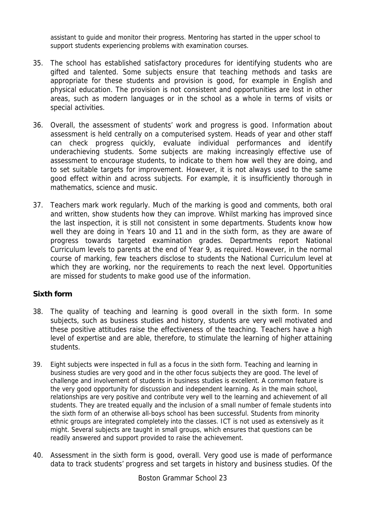assistant to guide and monitor their progress. Mentoring has started in the upper school to support students experiencing problems with examination courses.

- 35. The school has established satisfactory procedures for identifying students who are gifted and talented. Some subjects ensure that teaching methods and tasks are appropriate for these students and provision is good, for example in English and physical education. The provision is not consistent and opportunities are lost in other areas, such as modern languages or in the school as a whole in terms of visits or special activities.
- 36. Overall, the assessment of students' work and progress is good. Information about assessment is held centrally on a computerised system. Heads of year and other staff can check progress quickly, evaluate individual performances and identify underachieving students. Some subjects are making increasingly effective use of assessment to encourage students, to indicate to them how well they are doing, and to set suitable targets for improvement. However, it is not always used to the same good effect within and across subjects. For example, it is insufficiently thorough in mathematics, science and music.
- 37. Teachers mark work regularly. Much of the marking is good and comments, both oral and written, show students how they can improve. Whilst marking has improved since the last inspection, it is still not consistent in some departments. Students know how well they are doing in Years 10 and 11 and in the sixth form, as they are aware of progress towards targeted examination grades. Departments report National Curriculum levels to parents at the end of Year 9, as required. However, in the normal course of marking, few teachers disclose to students the National Curriculum level at which they are working, nor the requirements to reach the next level. Opportunities are missed for students to make good use of the information.

#### **Sixth form**

- 38. The quality of teaching and learning is good overall in the sixth form. In some subjects, such as business studies and history, students are very well motivated and these positive attitudes raise the effectiveness of the teaching. Teachers have a high level of expertise and are able, therefore, to stimulate the learning of higher attaining students.
- 39. Eight subjects were inspected in full as a focus in the sixth form. Teaching and learning in business studies are very good and in the other focus subjects they are good. The level of challenge and involvement of students in business studies is excellent. A common feature is the very good opportunity for discussion and independent learning. As in the main school, relationships are very positive and contribute very well to the learning and achievement of all students. They are treated equally and the inclusion of a small number of female students into the sixth form of an otherwise all-boys school has been successful. Students from minority ethnic groups are integrated completely into the classes. ICT is not used as extensively as it might. Several subjects are taught in small groups, which ensures that questions can be readily answered and support provided to raise the achievement.
- 40. Assessment in the sixth form is good, overall. Very good use is made of performance data to track students' progress and set targets in history and business studies. Of the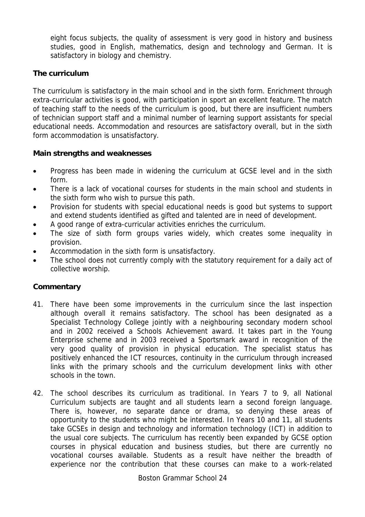eight focus subjects, the quality of assessment is very good in history and business studies, good in English, mathematics, design and technology and German. It is satisfactory in biology and chemistry.

#### **The curriculum**

The curriculum is satisfactory in the main school and in the sixth form. Enrichment through extra-curricular activities is good, with participation in sport an excellent feature. The match of teaching staff to the needs of the curriculum is good, but there are insufficient numbers of technician support staff and a minimal number of learning support assistants for special educational needs. Accommodation and resources are satisfactory overall, but in the sixth form accommodation is unsatisfactory.

#### **Main strengths and weaknesses**

- Progress has been made in widening the curriculum at GCSE level and in the sixth form.
- There is a lack of vocational courses for students in the main school and students in the sixth form who wish to pursue this path.
- Provision for students with special educational needs is good but systems to support and extend students identified as gifted and talented are in need of development.
- A good range of extra-curricular activities enriches the curriculum.
- The size of sixth form groups varies widely, which creates some inequality in provision.
- Accommodation in the sixth form is unsatisfactory.
- The school does not currently comply with the statutory requirement for a daily act of collective worship.

- 41. There have been some improvements in the curriculum since the last inspection although overall it remains satisfactory. The school has been designated as a Specialist Technology College jointly with a neighbouring secondary modern school and in 2002 received a Schools Achievement award. It takes part in the Young Enterprise scheme and in 2003 received a Sportsmark award in recognition of the very good quality of provision in physical education. The specialist status has positively enhanced the ICT resources, continuity in the curriculum through increased links with the primary schools and the curriculum development links with other schools in the town.
- 42. The school describes its curriculum as traditional. In Years 7 to 9, all National Curriculum subjects are taught and all students learn a second foreign language. There is, however, no separate dance or drama, so denying these areas of opportunity to the students who might be interested. In Years 10 and 11, all students take GCSEs in design and technology and information technology (ICT) in addition to the usual core subjects. The curriculum has recently been expanded by GCSE option courses in physical education and business studies, but there are currently no vocational courses available. Students as a result have neither the breadth of experience nor the contribution that these courses can make to a work-related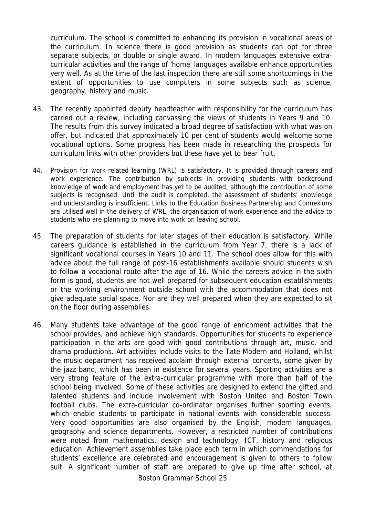curriculum. The school is committed to enhancing its provision in vocational areas of the curriculum. In science there is good provision as students can opt for three separate subjects, or double or single award. In modern languages extensive extracurricular activities and the range of 'home' languages available enhance opportunities very well. As at the time of the last inspection there are still some shortcomings in the extent of opportunities to use computers in some subjects such as science, geography, history and music.

- 43. The recently appointed deputy headteacher with responsibility for the curriculum has carried out a review, including canvassing the views of students in Years 9 and 10. The results from this survey indicated a broad degree of satisfaction with what was on offer, but indicated that approximately 10 per cent of students would welcome some vocational options. Some progress has been made in researching the prospects for curriculum links with other providers but these have yet to bear fruit.
- 44. Provision for work-related learning (WRL) is satisfactory. It is provided through careers and work experience. The contribution by subjects in providing students with background knowledge of work and employment has yet to be audited, although the contribution of some subjects is recognised. Until the audit is completed, the assessment of students' knowledge and understanding is insufficient. Links to the Education Business Partnership and Connexions are utilised well in the delivery of WRL, the organisation of work experience and the advice to students who are planning to move into work on leaving school.
- 45. The preparation of students for later stages of their education is satisfactory. While careers guidance is established in the curriculum from Year 7, there is a lack of significant vocational courses in Years 10 and 11. The school does allow for this with advice about the full range of post-16 establishments available should students wish to follow a vocational route after the age of 16. While the careers advice in the sixth form is good, students are not well prepared for subsequent education establishments or the working environment outside school with the accommodation that does not give adequate social space. Nor are they well prepared when they are expected to sit on the floor during assemblies.
- 46. Many students take advantage of the good range of enrichment activities that the school provides, and achieve high standards. Opportunities for students to experience participation in the arts are good with good contributions through art, music, and drama productions. Art activities include visits to the Tate Modern and Holland, whilst the music department has received acclaim through external concerts, some given by the jazz band, which has been in existence for several years. Sporting activities are a very strong feature of the extra-curricular programme with more than half of the school being involved. Some of these activities are designed to extend the gifted and talented students and include involvement with Boston United and Boston Town football clubs. The extra-curricular co-ordinator organises further sporting events, which enable students to participate in national events with considerable success. Very good opportunities are also organised by the English, modern languages, geography and science departments. However, a restricted number of contributions were noted from mathematics, design and technology, ICT, history and religious education. Achievement assemblies take place each term in which commendations for students' excellence are celebrated and encouragement is given to others to follow suit. A significant number of staff are prepared to give up time after school, at

Boston Grammar School 25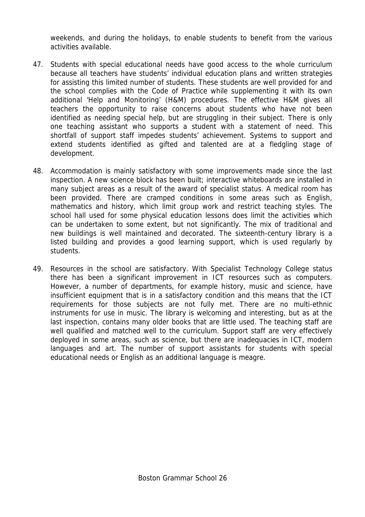weekends, and during the holidays, to enable students to benefit from the various activities available.

- 47. Students with special educational needs have good access to the whole curriculum because all teachers have students' individual education plans and written strategies for assisting this limited number of students. These students are well provided for and the school complies with the Code of Practice while supplementing it with its own additional 'Help and Monitoring' (H&M) procedures. The effective H&M gives all teachers the opportunity to raise concerns about students who have not been identified as needing special help, but are struggling in their subject. There is only one teaching assistant who supports a student with a statement of need. This shortfall of support staff impedes students' achievement. Systems to support and extend students identified as gifted and talented are at a fledgling stage of development.
- 48. Accommodation is mainly satisfactory with some improvements made since the last inspection. A new science block has been built; interactive whiteboards are installed in many subject areas as a result of the award of specialist status. A medical room has been provided. There are cramped conditions in some areas such as English, mathematics and history, which limit group work and restrict teaching styles. The school hall used for some physical education lessons does limit the activities which can be undertaken to some extent, but not significantly. The mix of traditional and new buildings is well maintained and decorated. The sixteenth-century library is a listed building and provides a good learning support, which is used regularly by students.
- 49. Resources in the school are satisfactory. With Specialist Technology College status there has been a significant improvement in ICT resources such as computers. However, a number of departments, for example history, music and science, have insufficient equipment that is in a satisfactory condition and this means that the ICT requirements for those subjects are not fully met. There are no multi-ethnic instruments for use in music. The library is welcoming and interesting, but as at the last inspection, contains many older books that are little used. The teaching staff are well qualified and matched well to the curriculum. Support staff are very effectively deployed in some areas, such as science, but there are inadequacies in ICT, modern languages and art. The number of support assistants for students with special educational needs or English as an additional language is meagre.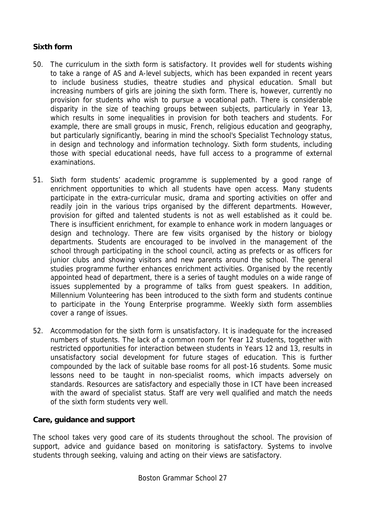#### **Sixth form**

- 50. The curriculum in the sixth form is satisfactory. It provides well for students wishing to take a range of AS and A-level subjects, which has been expanded in recent years to include business studies, theatre studies and physical education. Small but increasing numbers of girls are joining the sixth form. There is, however, currently no provision for students who wish to pursue a vocational path. There is considerable disparity in the size of teaching groups between subjects, particularly in Year 13, which results in some inequalities in provision for both teachers and students. For example, there are small groups in music, French, religious education and geography, but particularly significantly, bearing in mind the school's Specialist Technology status, in design and technology and information technology. Sixth form students, including those with special educational needs, have full access to a programme of external examinations.
- 51. Sixth form students' academic programme is supplemented by a good range of enrichment opportunities to which all students have open access. Many students participate in the extra-curricular music, drama and sporting activities on offer and readily join in the various trips organised by the different departments. However, provision for gifted and talented students is not as well established as it could be. There is insufficient enrichment, for example to enhance work in modern languages or design and technology. There are few visits organised by the history or biology departments. Students are encouraged to be involved in the management of the school through participating in the school council, acting as prefects or as officers for junior clubs and showing visitors and new parents around the school. The general studies programme further enhances enrichment activities. Organised by the recently appointed head of department, there is a series of taught modules on a wide range of issues supplemented by a programme of talks from guest speakers. In addition, Millennium Volunteering has been introduced to the sixth form and students continue to participate in the Young Enterprise programme. Weekly sixth form assemblies cover a range of issues.
- 52. Accommodation for the sixth form is unsatisfactory. It is inadequate for the increased numbers of students. The lack of a common room for Year 12 students, together with restricted opportunities for interaction between students in Years 12 and 13, results in unsatisfactory social development for future stages of education. This is further compounded by the lack of suitable base rooms for all post-16 students. Some music lessons need to be taught in non-specialist rooms, which impacts adversely on standards. Resources are satisfactory and especially those in ICT have been increased with the award of specialist status. Staff are very well qualified and match the needs of the sixth form students very well.

#### **Care, guidance and support**

The school takes very good care of its students throughout the school. The provision of support, advice and guidance based on monitoring is satisfactory. Systems to involve students through seeking, valuing and acting on their views are satisfactory.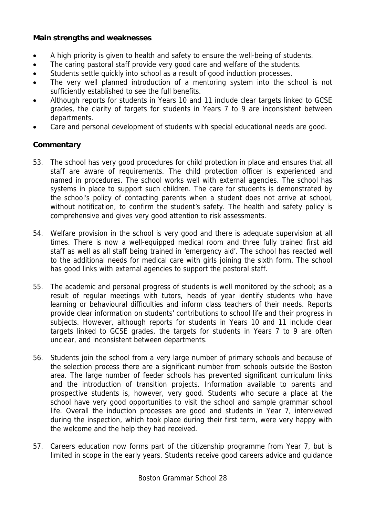#### **Main strengths and weaknesses**

- A high priority is given to health and safety to ensure the well-being of students.
- The caring pastoral staff provide very good care and welfare of the students.
- Students settle quickly into school as a result of good induction processes.
- The very well planned introduction of a mentoring system into the school is not sufficiently established to see the full benefits.
- Although reports for students in Years 10 and 11 include clear targets linked to GCSE grades, the clarity of targets for students in Years 7 to 9 are inconsistent between departments.
- Care and personal development of students with special educational needs are good.

- 53. The school has very good procedures for child protection in place and ensures that all staff are aware of requirements. The child protection officer is experienced and named in procedures. The school works well with external agencies. The school has systems in place to support such children. The care for students is demonstrated by the school's policy of contacting parents when a student does not arrive at school, without notification, to confirm the student's safety. The health and safety policy is comprehensive and gives very good attention to risk assessments.
- 54. Welfare provision in the school is very good and there is adequate supervision at all times. There is now a well-equipped medical room and three fully trained first aid staff as well as all staff being trained in 'emergency aid'. The school has reacted well to the additional needs for medical care with girls joining the sixth form. The school has good links with external agencies to support the pastoral staff.
- 55. The academic and personal progress of students is well monitored by the school; as a result of regular meetings with tutors, heads of year identify students who have learning or behavioural difficulties and inform class teachers of their needs. Reports provide clear information on students' contributions to school life and their progress in subjects. However, although reports for students in Years 10 and 11 include clear targets linked to GCSE grades, the targets for students in Years 7 to 9 are often unclear, and inconsistent between departments.
- 56. Students join the school from a very large number of primary schools and because of the selection process there are a significant number from schools outside the Boston area. The large number of feeder schools has prevented significant curriculum links and the introduction of transition projects. Information available to parents and prospective students is, however, very good. Students who secure a place at the school have very good opportunities to visit the school and sample grammar school life. Overall the induction processes are good and students in Year 7, interviewed during the inspection, which took place during their first term, were very happy with the welcome and the help they had received.
- 57. Careers education now forms part of the citizenship programme from Year 7, but is limited in scope in the early years. Students receive good careers advice and guidance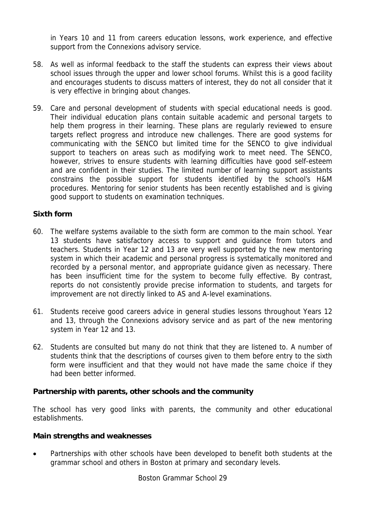in Years 10 and 11 from careers education lessons, work experience, and effective support from the Connexions advisory service.

- 58. As well as informal feedback to the staff the students can express their views about school issues through the upper and lower school forums. Whilst this is a good facility and encourages students to discuss matters of interest, they do not all consider that it is very effective in bringing about changes.
- 59. Care and personal development of students with special educational needs is good. Their individual education plans contain suitable academic and personal targets to help them progress in their learning. These plans are regularly reviewed to ensure targets reflect progress and introduce new challenges. There are good systems for communicating with the SENCO but limited time for the SENCO to give individual support to teachers on areas such as modifying work to meet need. The SENCO, however, strives to ensure students with learning difficulties have good self-esteem and are confident in their studies. The limited number of learning support assistants constrains the possible support for students identified by the school's H&M procedures. Mentoring for senior students has been recently established and is giving good support to students on examination techniques.

#### **Sixth form**

- 60. The welfare systems available to the sixth form are common to the main school. Year 13 students have satisfactory access to support and guidance from tutors and teachers. Students in Year 12 and 13 are very well supported by the new mentoring system in which their academic and personal progress is systematically monitored and recorded by a personal mentor, and appropriate guidance given as necessary. There has been insufficient time for the system to become fully effective. By contrast, reports do not consistently provide precise information to students, and targets for improvement are not directly linked to AS and A-level examinations.
- 61. Students receive good careers advice in general studies lessons throughout Years 12 and 13, through the Connexions advisory service and as part of the new mentoring system in Year 12 and 13.
- 62. Students are consulted but many do not think that they are listened to. A number of students think that the descriptions of courses given to them before entry to the sixth form were insufficient and that they would not have made the same choice if they had been better informed.

#### **Partnership with parents, other schools and the community**

The school has very good links with parents, the community and other educational establishments.

#### **Main strengths and weaknesses**

• Partnerships with other schools have been developed to benefit both students at the grammar school and others in Boston at primary and secondary levels.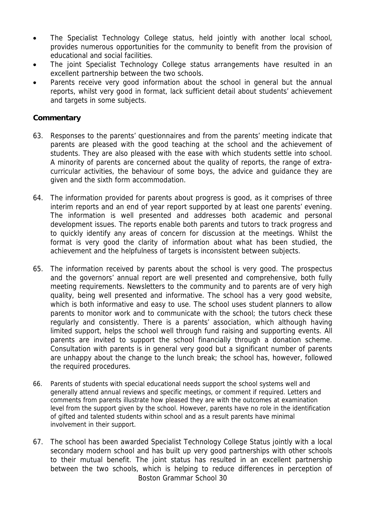- The Specialist Technology College status, held jointly with another local school, provides numerous opportunities for the community to benefit from the provision of educational and social facilities.
- The joint Specialist Technology College status arrangements have resulted in an excellent partnership between the two schools.
- Parents receive very good information about the school in general but the annual reports, whilst very good in format, lack sufficient detail about students' achievement and targets in some subjects.

- 63. Responses to the parents' questionnaires and from the parents' meeting indicate that parents are pleased with the good teaching at the school and the achievement of students. They are also pleased with the ease with which students settle into school. A minority of parents are concerned about the quality of reports, the range of extracurricular activities, the behaviour of some boys, the advice and guidance they are given and the sixth form accommodation.
- 64. The information provided for parents about progress is good, as it comprises of three interim reports and an end of year report supported by at least one parents' evening. The information is well presented and addresses both academic and personal development issues. The reports enable both parents and tutors to track progress and to quickly identify any areas of concern for discussion at the meetings. Whilst the format is very good the clarity of information about what has been studied, the achievement and the helpfulness of targets is inconsistent between subjects.
- 65. The information received by parents about the school is very good. The prospectus and the governors' annual report are well presented and comprehensive, both fully meeting requirements. Newsletters to the community and to parents are of very high quality, being well presented and informative. The school has a very good website, which is both informative and easy to use. The school uses student planners to allow parents to monitor work and to communicate with the school; the tutors check these regularly and consistently. There is a parents' association, which although having limited support, helps the school well through fund raising and supporting events. All parents are invited to support the school financially through a donation scheme. Consultation with parents is in general very good but a significant number of parents are unhappy about the change to the lunch break; the school has, however, followed the required procedures.
- 66. Parents of students with special educational needs support the school systems well and generally attend annual reviews and specific meetings, or comment if required. Letters and comments from parents illustrate how pleased they are with the outcomes at examination level from the support given by the school. However, parents have no role in the identification of gifted and talented students within school and as a result parents have minimal involvement in their support.
- Boston Grammar School 30 67. The school has been awarded Specialist Technology College Status jointly with a local secondary modern school and has built up very good partnerships with other schools to their mutual benefit. The joint status has resulted in an excellent partnership between the two schools, which is helping to reduce differences in perception of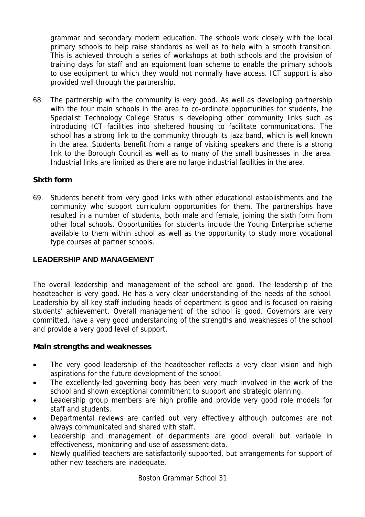grammar and secondary modern education. The schools work closely with the local primary schools to help raise standards as well as to help with a smooth transition. This is achieved through a series of workshops at both schools and the provision of training days for staff and an equipment loan scheme to enable the primary schools to use equipment to which they would not normally have access. ICT support is also provided well through the partnership.

68. The partnership with the community is very good. As well as developing partnership with the four main schools in the area to co-ordinate opportunities for students, the Specialist Technology College Status is developing other community links such as introducing ICT facilities into sheltered housing to facilitate communications. The school has a strong link to the community through its jazz band, which is well known in the area. Students benefit from a range of visiting speakers and there is a strong link to the Borough Council as well as to many of the small businesses in the area. Industrial links are limited as there are no large industrial facilities in the area.

## **Sixth form**

69. Students benefit from very good links with other educational establishments and the community who support curriculum opportunities for them. The partnerships have resulted in a number of students, both male and female, joining the sixth form from other local schools. Opportunities for students include the Young Enterprise scheme available to them within school as well as the opportunity to study more vocational type courses at partner schools.

#### **LEADERSHIP AND MANAGEMENT**

The overall leadership and management of the school are good. The leadership of the headteacher is very good. He has a very clear understanding of the needs of the school. Leadership by all key staff including heads of department is good and is focused on raising students' achievement. Overall management of the school is good. Governors are very committed, have a very good understanding of the strengths and weaknesses of the school and provide a very good level of support.

#### **Main strengths and weaknesses**

- The very good leadership of the headteacher reflects a very clear vision and high aspirations for the future development of the school.
- The excellently-led governing body has been very much involved in the work of the school and shown exceptional commitment to support and strategic planning.
- Leadership group members are high profile and provide very good role models for staff and students.
- Departmental reviews are carried out very effectively although outcomes are not always communicated and shared with staff.
- Leadership and management of departments are good overall but variable in effectiveness, monitoring and use of assessment data.
- Newly qualified teachers are satisfactorily supported, but arrangements for support of other new teachers are inadequate.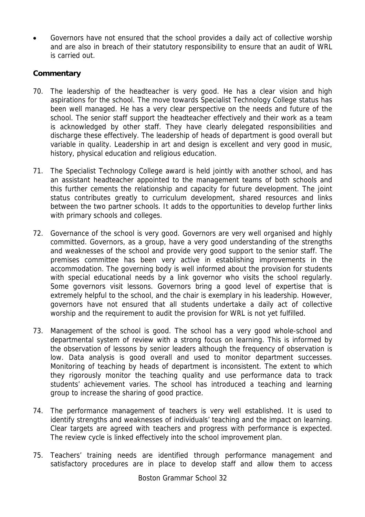• Governors have not ensured that the school provides a daily act of collective worship and are also in breach of their statutory responsibility to ensure that an audit of WRL is carried out.

- 70. The leadership of the headteacher is very good. He has a clear vision and high aspirations for the school. The move towards Specialist Technology College status has been well managed. He has a very clear perspective on the needs and future of the school. The senior staff support the headteacher effectively and their work as a team is acknowledged by other staff. They have clearly delegated responsibilities and discharge these effectively. The leadership of heads of department is good overall but variable in quality. Leadership in art and design is excellent and very good in music, history, physical education and religious education.
- 71. The Specialist Technology College award is held jointly with another school, and has an assistant headteacher appointed to the management teams of both schools and this further cements the relationship and capacity for future development. The joint status contributes greatly to curriculum development, shared resources and links between the two partner schools. It adds to the opportunities to develop further links with primary schools and colleges.
- 72. Governance of the school is very good. Governors are very well organised and highly committed. Governors, as a group, have a very good understanding of the strengths and weaknesses of the school and provide very good support to the senior staff. The premises committee has been very active in establishing improvements in the accommodation. The governing body is well informed about the provision for students with special educational needs by a link governor who visits the school regularly. Some governors visit lessons. Governors bring a good level of expertise that is extremely helpful to the school, and the chair is exemplary in his leadership. However, governors have not ensured that all students undertake a daily act of collective worship and the requirement to audit the provision for WRL is not yet fulfilled.
- 73. Management of the school is good. The school has a very good whole-school and departmental system of review with a strong focus on learning. This is informed by the observation of lessons by senior leaders although the frequency of observation is low. Data analysis is good overall and used to monitor department successes. Monitoring of teaching by heads of department is inconsistent. The extent to which they rigorously monitor the teaching quality and use performance data to track students' achievement varies. The school has introduced a teaching and learning group to increase the sharing of good practice.
- 74. The performance management of teachers is very well established. It is used to identify strengths and weaknesses of individuals' teaching and the impact on learning. Clear targets are agreed with teachers and progress with performance is expected. The review cycle is linked effectively into the school improvement plan.
- 75. Teachers' training needs are identified through performance management and satisfactory procedures are in place to develop staff and allow them to access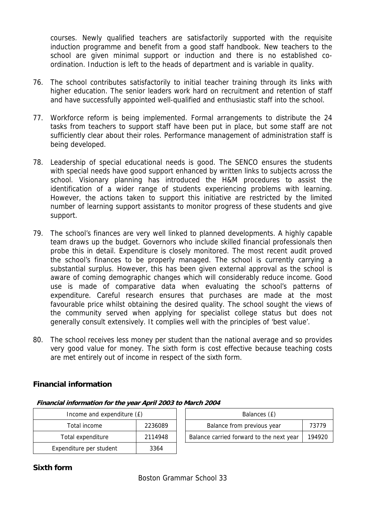courses. Newly qualified teachers are satisfactorily supported with the requisite induction programme and benefit from a good staff handbook. New teachers to the school are given minimal support or induction and there is no established coordination. Induction is left to the heads of department and is variable in quality.

- 76. The school contributes satisfactorily to initial teacher training through its links with higher education. The senior leaders work hard on recruitment and retention of staff and have successfully appointed well-qualified and enthusiastic staff into the school.
- 77. Workforce reform is being implemented. Formal arrangements to distribute the 24 tasks from teachers to support staff have been put in place, but some staff are not sufficiently clear about their roles. Performance management of administration staff is being developed.
- 78. Leadership of special educational needs is good. The SENCO ensures the students with special needs have good support enhanced by written links to subjects across the school. Visionary planning has introduced the H&M procedures to assist the identification of a wider range of students experiencing problems with learning. However, the actions taken to support this initiative are restricted by the limited number of learning support assistants to monitor progress of these students and give support.
- 79. The school's finances are very well linked to planned developments. A highly capable team draws up the budget. Governors who include skilled financial professionals then probe this in detail. Expenditure is closely monitored. The most recent audit proved the school's finances to be properly managed. The school is currently carrying a substantial surplus. However, this has been given external approval as the school is aware of coming demographic changes which will considerably reduce income. Good use is made of comparative data when evaluating the school's patterns of expenditure. Careful research ensures that purchases are made at the most favourable price whilst obtaining the desired quality. The school sought the views of the community served when applying for specialist college status but does not generally consult extensively. It complies well with the principles of 'best value'.
- 80. The school receives less money per student than the national average and so provides very good value for money. The sixth form is cost effective because teaching costs are met entirely out of income in respect of the sixth form.

#### **Financial information**

|                         | Income and expenditure (£) |  | Balances (£)                             |        |  |
|-------------------------|----------------------------|--|------------------------------------------|--------|--|
| Total income            | 2236089                    |  | Balance from previous year               | 73779  |  |
| Total expenditure       | 2114948                    |  | Balance carried forward to the next year | 194920 |  |
| Expenditure per student | 3364                       |  |                                          |        |  |

| Income and expenditure (£) |         | Balances (£)                             |        |  |  |  |
|----------------------------|---------|------------------------------------------|--------|--|--|--|
| Total income               | 2236089 | Balance from previous year               | 73779  |  |  |  |
| tal expenditure            | 2114948 | Balance carried forward to the next year | 194920 |  |  |  |

#### **Financial information for the year April 2003 to March 2004**

# **Sixth form**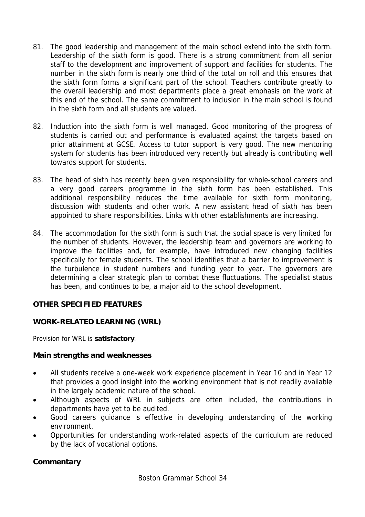- 81. The good leadership and management of the main school extend into the sixth form. Leadership of the sixth form is good. There is a strong commitment from all senior staff to the development and improvement of support and facilities for students. The number in the sixth form is nearly one third of the total on roll and this ensures that the sixth form forms a significant part of the school. Teachers contribute greatly to the overall leadership and most departments place a great emphasis on the work at this end of the school. The same commitment to inclusion in the main school is found in the sixth form and all students are valued.
- 82. Induction into the sixth form is well managed. Good monitoring of the progress of students is carried out and performance is evaluated against the targets based on prior attainment at GCSE. Access to tutor support is very good. The new mentoring system for students has been introduced very recently but already is contributing well towards support for students.
- 83. The head of sixth has recently been given responsibility for whole-school careers and a very good careers programme in the sixth form has been established. This additional responsibility reduces the time available for sixth form monitoring, discussion with students and other work. A new assistant head of sixth has been appointed to share responsibilities. Links with other establishments are increasing.
- 84. The accommodation for the sixth form is such that the social space is very limited for the number of students. However, the leadership team and governors are working to improve the facilities and, for example, have introduced new changing facilities specifically for female students. The school identifies that a barrier to improvement is the turbulence in student numbers and funding year to year. The governors are determining a clear strategic plan to combat these fluctuations. The specialist status has been, and continues to be, a major aid to the school development.

## **OTHER SPECIFIED FEATURES**

#### **WORK-RELATED LEARNING (WRL)**

Provision for WRL is **satisfactory**.

#### **Main strengths and weaknesses**

- All students receive a one-week work experience placement in Year 10 and in Year 12 that provides a good insight into the working environment that is not readily available in the largely academic nature of the school.
- Although aspects of WRL in subjects are often included, the contributions in departments have yet to be audited.
- Good careers guidance is effective in developing understanding of the working environment.
- Opportunities for understanding work-related aspects of the curriculum are reduced by the lack of vocational options.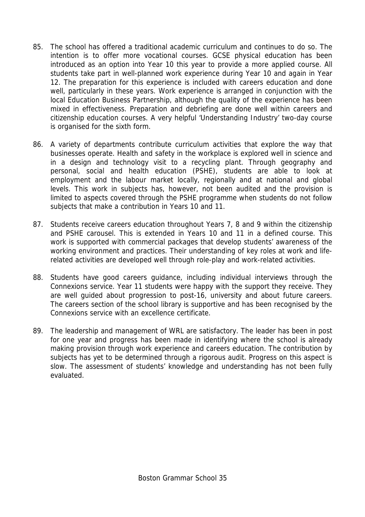- 85. The school has offered a traditional academic curriculum and continues to do so. The intention is to offer more vocational courses. GCSE physical education has been introduced as an option into Year 10 this year to provide a more applied course. All students take part in well-planned work experience during Year 10 and again in Year 12. The preparation for this experience is included with careers education and done well, particularly in these years. Work experience is arranged in conjunction with the local Education Business Partnership, although the quality of the experience has been mixed in effectiveness. Preparation and debriefing are done well within careers and citizenship education courses. A very helpful 'Understanding Industry' two-day course is organised for the sixth form.
- 86. A variety of departments contribute curriculum activities that explore the way that businesses operate. Health and safety in the workplace is explored well in science and in a design and technology visit to a recycling plant. Through geography and personal, social and health education (PSHE), students are able to look at employment and the labour market locally, regionally and at national and global levels. This work in subjects has, however, not been audited and the provision is limited to aspects covered through the PSHE programme when students do not follow subjects that make a contribution in Years 10 and 11.
- 87. Students receive careers education throughout Years 7, 8 and 9 within the citizenship and PSHE carousel. This is extended in Years 10 and 11 in a defined course. This work is supported with commercial packages that develop students' awareness of the working environment and practices. Their understanding of key roles at work and liferelated activities are developed well through role-play and work-related activities.
- 88. Students have good careers guidance, including individual interviews through the Connexions service. Year 11 students were happy with the support they receive. They are well guided about progression to post-16, university and about future careers. The careers section of the school library is supportive and has been recognised by the Connexions service with an excellence certificate.
- 89. The leadership and management of WRL are satisfactory. The leader has been in post for one year and progress has been made in identifying where the school is already making provision through work experience and careers education. The contribution by subjects has yet to be determined through a rigorous audit. Progress on this aspect is slow. The assessment of students' knowledge and understanding has not been fully evaluated.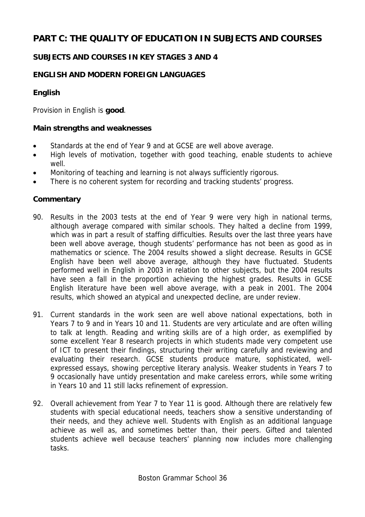# **PART C: THE QUALITY OF EDUCATION IN SUBJECTS AND COURSES**

## **SUBJECTS AND COURSES IN KEY STAGES 3 AND 4**

## **ENGLISH AND MODERN FOREIGN LANGUAGES**

#### **English**

Provision in English is **good**.

#### **Main strengths and weaknesses**

- Standards at the end of Year 9 and at GCSE are well above average.
- High levels of motivation, together with good teaching, enable students to achieve well.
- Monitoring of teaching and learning is not always sufficiently rigorous.
- There is no coherent system for recording and tracking students' progress.

- 90. Results in the 2003 tests at the end of Year 9 were very high in national terms, although average compared with similar schools. They halted a decline from 1999, which was in part a result of staffing difficulties. Results over the last three years have been well above average, though students' performance has not been as good as in mathematics or science. The 2004 results showed a slight decrease. Results in GCSE English have been well above average, although they have fluctuated. Students performed well in English in 2003 in relation to other subjects, but the 2004 results have seen a fall in the proportion achieving the highest grades. Results in GCSE English literature have been well above average, with a peak in 2001. The 2004 results, which showed an atypical and unexpected decline, are under review.
- 91. Current standards in the work seen are well above national expectations, both in Years 7 to 9 and in Years 10 and 11. Students are very articulate and are often willing to talk at length. Reading and writing skills are of a high order, as exemplified by some excellent Year 8 research projects in which students made very competent use of ICT to present their findings, structuring their writing carefully and reviewing and evaluating their research. GCSE students produce mature, sophisticated, wellexpressed essays, showing perceptive literary analysis. Weaker students in Years 7 to 9 occasionally have untidy presentation and make careless errors, while some writing in Years 10 and 11 still lacks refinement of expression.
- 92. Overall achievement from Year 7 to Year 11 is good. Although there are relatively few students with special educational needs, teachers show a sensitive understanding of their needs, and they achieve well. Students with English as an additional language achieve as well as, and sometimes better than, their peers. Gifted and talented students achieve well because teachers' planning now includes more challenging tasks.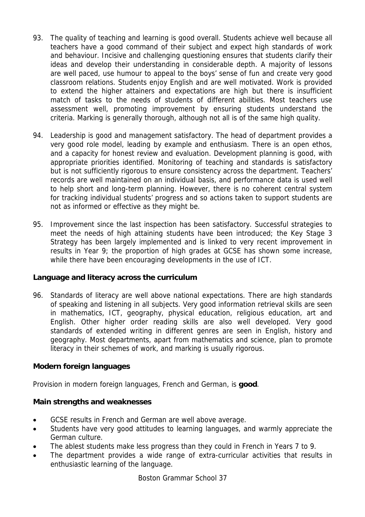- 93. The quality of teaching and learning is good overall. Students achieve well because all teachers have a good command of their subject and expect high standards of work and behaviour. Incisive and challenging questioning ensures that students clarify their ideas and develop their understanding in considerable depth. A majority of lessons are well paced, use humour to appeal to the boys' sense of fun and create very good classroom relations. Students enjoy English and are well motivated. Work is provided to extend the higher attainers and expectations are high but there is insufficient match of tasks to the needs of students of different abilities. Most teachers use assessment well, promoting improvement by ensuring students understand the criteria. Marking is generally thorough, although not all is of the same high quality.
- 94. Leadership is good and management satisfactory. The head of department provides a very good role model, leading by example and enthusiasm. There is an open ethos, and a capacity for honest review and evaluation. Development planning is good, with appropriate priorities identified. Monitoring of teaching and standards is satisfactory but is not sufficiently rigorous to ensure consistency across the department. Teachers' records are well maintained on an individual basis, and performance data is used well to help short and long-term planning. However, there is no coherent central system for tracking individual students' progress and so actions taken to support students are not as informed or effective as they might be.
- 95. Improvement since the last inspection has been satisfactory. Successful strategies to meet the needs of high attaining students have been introduced; the Key Stage 3 Strategy has been largely implemented and is linked to very recent improvement in results in Year 9; the proportion of high grades at GCSE has shown some increase, while there have been encouraging developments in the use of ICT.

## **Language and literacy across the curriculum**

96. Standards of literacy are well above national expectations. There are high standards of speaking and listening in all subjects. Very good information retrieval skills are seen in mathematics, ICT, geography, physical education, religious education, art and English. Other higher order reading skills are also well developed. Very good standards of extended writing in different genres are seen in English, history and geography. Most departments, apart from mathematics and science, plan to promote literacy in their schemes of work, and marking is usually rigorous.

## **Modern foreign languages**

Provision in modern foreign languages, French and German, is **good**.

## **Main strengths and weaknesses**

- GCSE results in French and German are well above average.
- Students have very good attitudes to learning languages, and warmly appreciate the German culture.
- The ablest students make less progress than they could in French in Years 7 to 9.
- The department provides a wide range of extra-curricular activities that results in enthusiastic learning of the language.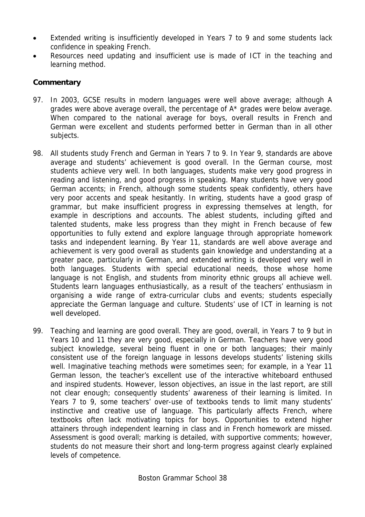- Extended writing is insufficiently developed in Years 7 to 9 and some students lack confidence in speaking French.
- Resources need updating and insufficient use is made of ICT in the teaching and learning method.

- 97. In 2003, GCSE results in modern languages were well above average; although A grades were above average overall, the percentage of A\* grades were below average. When compared to the national average for boys, overall results in French and German were excellent and students performed better in German than in all other subjects.
- 98. All students study French and German in Years 7 to 9. In Year 9, standards are above average and students' achievement is good overall. In the German course, most students achieve very well. In both languages, students make very good progress in reading and listening, and good progress in speaking. Many students have very good German accents; in French, although some students speak confidently, others have very poor accents and speak hesitantly. In writing, students have a good grasp of grammar, but make insufficient progress in expressing themselves at length, for example in descriptions and accounts. The ablest students, including gifted and talented students, make less progress than they might in French because of few opportunities to fully extend and explore language through appropriate homework tasks and independent learning. By Year 11, standards are well above average and achievement is very good overall as students gain knowledge and understanding at a greater pace, particularly in German, and extended writing is developed very well in both languages. Students with special educational needs, those whose home language is not English, and students from minority ethnic groups all achieve well. Students learn languages enthusiastically, as a result of the teachers' enthusiasm in organising a wide range of extra-curricular clubs and events; students especially appreciate the German language and culture. Students' use of ICT in learning is not well developed.
- 99. Teaching and learning are good overall. They are good, overall, in Years 7 to 9 but in Years 10 and 11 they are very good, especially in German. Teachers have very good subject knowledge, several being fluent in one or both languages; their mainly consistent use of the foreign language in lessons develops students' listening skills well. Imaginative teaching methods were sometimes seen; for example, in a Year 11 German lesson, the teacher's excellent use of the interactive whiteboard enthused and inspired students. However, lesson objectives, an issue in the last report, are still not clear enough; consequently students' awareness of their learning is limited. In Years 7 to 9, some teachers' over-use of textbooks tends to limit many students' instinctive and creative use of language. This particularly affects French, where textbooks often lack motivating topics for boys. Opportunities to extend higher attainers through independent learning in class and in French homework are missed. Assessment is good overall; marking is detailed, with supportive comments; however, students do not measure their short and long-term progress against clearly explained levels of competence.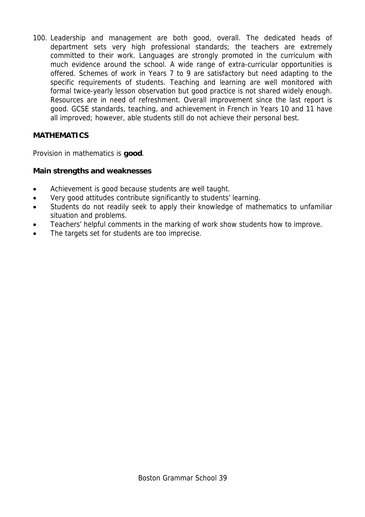100. Leadership and management are both good, overall. The dedicated heads of department sets very high professional standards; the teachers are extremely committed to their work. Languages are strongly promoted in the curriculum with much evidence around the school. A wide range of extra-curricular opportunities is offered. Schemes of work in Years 7 to 9 are satisfactory but need adapting to the specific requirements of students. Teaching and learning are well monitored with formal twice-yearly lesson observation but good practice is not shared widely enough. Resources are in need of refreshment. Overall improvement since the last report is good. GCSE standards, teaching, and achievement in French in Years 10 and 11 have all improved; however, able students still do not achieve their personal best.

## **MATHEMATICS**

Provision in mathematics is **good**.

## **Main strengths and weaknesses**

- Achievement is good because students are well taught.
- Very good attitudes contribute significantly to students' learning.
- Students do not readily seek to apply their knowledge of mathematics to unfamiliar situation and problems.
- Teachers' helpful comments in the marking of work show students how to improve.
- The targets set for students are too imprecise.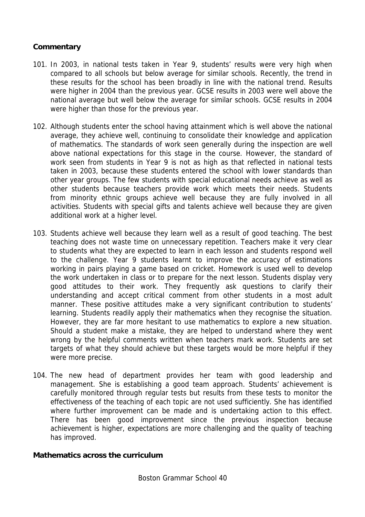## **Commentary**

- 101. In 2003, in national tests taken in Year 9, students' results were very high when compared to all schools but below average for similar schools. Recently, the trend in these results for the school has been broadly in line with the national trend. Results were higher in 2004 than the previous year. GCSE results in 2003 were well above the national average but well below the average for similar schools. GCSE results in 2004 were higher than those for the previous year.
- 102. Although students enter the school having attainment which is well above the national average, they achieve well, continuing to consolidate their knowledge and application of mathematics. The standards of work seen generally during the inspection are well above national expectations for this stage in the course. However, the standard of work seen from students in Year 9 is not as high as that reflected in national tests taken in 2003, because these students entered the school with lower standards than other year groups. The few students with special educational needs achieve as well as other students because teachers provide work which meets their needs. Students from minority ethnic groups achieve well because they are fully involved in all activities. Students with special gifts and talents achieve well because they are given additional work at a higher level.
- 103. Students achieve well because they learn well as a result of good teaching. The best teaching does not waste time on unnecessary repetition. Teachers make it very clear to students what they are expected to learn in each lesson and students respond well to the challenge. Year 9 students learnt to improve the accuracy of estimations working in pairs playing a game based on cricket. Homework is used well to develop the work undertaken in class or to prepare for the next lesson. Students display very good attitudes to their work. They frequently ask questions to clarify their understanding and accept critical comment from other students in a most adult manner. These positive attitudes make a very significant contribution to students' learning. Students readily apply their mathematics when they recognise the situation. However, they are far more hesitant to use mathematics to explore a new situation. Should a student make a mistake, they are helped to understand where they went wrong by the helpful comments written when teachers mark work. Students are set targets of what they should achieve but these targets would be more helpful if they were more precise.
- 104. The new head of department provides her team with good leadership and management. She is establishing a good team approach. Students' achievement is carefully monitored through regular tests but results from these tests to monitor the effectiveness of the teaching of each topic are not used sufficiently. She has identified where further improvement can be made and is undertaking action to this effect. There has been good improvement since the previous inspection because achievement is higher, expectations are more challenging and the quality of teaching has improved.

## **Mathematics across the curriculum**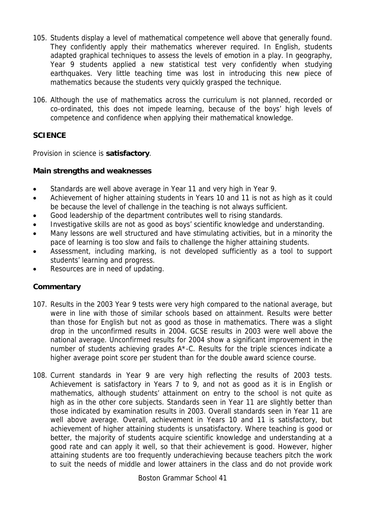- 105. Students display a level of mathematical competence well above that generally found. They confidently apply their mathematics wherever required. In English, students adapted graphical techniques to assess the levels of emotion in a play. In geography, Year 9 students applied a new statistical test very confidently when studying earthquakes. Very little teaching time was lost in introducing this new piece of mathematics because the students very quickly grasped the technique.
- 106. Although the use of mathematics across the curriculum is not planned, recorded or co-ordinated, this does not impede learning, because of the boys' high levels of competence and confidence when applying their mathematical knowledge.

# **SCIENCE**

Provision in science is **satisfactory**.

## **Main strengths and weaknesses**

- Standards are well above average in Year 11 and very high in Year 9.
- Achievement of higher attaining students in Years 10 and 11 is not as high as it could be because the level of challenge in the teaching is not always sufficient.
- Good leadership of the department contributes well to rising standards.
- Investigative skills are not as good as boys' scientific knowledge and understanding.
- Many lessons are well structured and have stimulating activities, but in a minority the pace of learning is too slow and fails to challenge the higher attaining students.
- Assessment, including marking, is not developed sufficiently as a tool to support students' learning and progress.
- Resources are in need of updating.

## **Commentary**

- 107. Results in the 2003 Year 9 tests were very high compared to the national average, but were in line with those of similar schools based on attainment. Results were better than those for English but not as good as those in mathematics. There was a slight drop in the unconfirmed results in 2004. GCSE results in 2003 were well above the national average. Unconfirmed results for 2004 show a significant improvement in the number of students achieving grades A\*-C. Results for the triple sciences indicate a higher average point score per student than for the double award science course.
- 108. Current standards in Year 9 are very high reflecting the results of 2003 tests. Achievement is satisfactory in Years 7 to 9, and not as good as it is in English or mathematics, although students' attainment on entry to the school is not quite as high as in the other core subjects. Standards seen in Year 11 are slightly better than those indicated by examination results in 2003. Overall standards seen in Year 11 are well above average. Overall, achievement in Years 10 and 11 is satisfactory, but achievement of higher attaining students is unsatisfactory. Where teaching is good or better, the majority of students acquire scientific knowledge and understanding at a good rate and can apply it well, so that their achievement is good. However, higher attaining students are too frequently underachieving because teachers pitch the work to suit the needs of middle and lower attainers in the class and do not provide work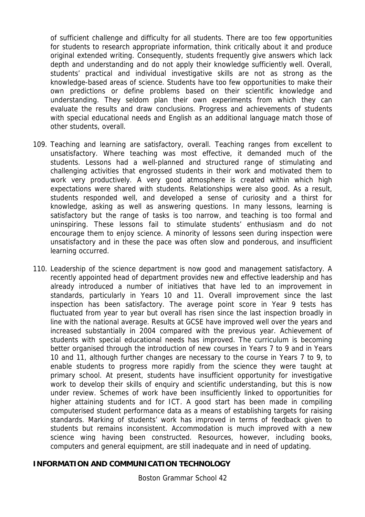of sufficient challenge and difficulty for all students. There are too few opportunities for students to research appropriate information, think critically about it and produce original extended writing. Consequently, students frequently give answers which lack depth and understanding and do not apply their knowledge sufficiently well. Overall, students' practical and individual investigative skills are not as strong as the knowledge-based areas of science. Students have too few opportunities to make their own predictions or define problems based on their scientific knowledge and understanding. They seldom plan their own experiments from which they can evaluate the results and draw conclusions. Progress and achievements of students with special educational needs and English as an additional language match those of other students, overall.

- 109. Teaching and learning are satisfactory, overall. Teaching ranges from excellent to unsatisfactory. Where teaching was most effective, it demanded much of the students. Lessons had a well-planned and structured range of stimulating and challenging activities that engrossed students in their work and motivated them to work very productively. A very good atmosphere is created within which high expectations were shared with students. Relationships were also good. As a result, students responded well, and developed a sense of curiosity and a thirst for knowledge, asking as well as answering questions. In many lessons, learning is satisfactory but the range of tasks is too narrow, and teaching is too formal and uninspiring. These lessons fail to stimulate students' enthusiasm and do not encourage them to enjoy science. A minority of lessons seen during inspection were unsatisfactory and in these the pace was often slow and ponderous, and insufficient learning occurred.
- 110. Leadership of the science department is now good and management satisfactory. A recently appointed head of department provides new and effective leadership and has already introduced a number of initiatives that have led to an improvement in standards, particularly in Years 10 and 11. Overall improvement since the last inspection has been satisfactory. The average point score in Year 9 tests has fluctuated from year to year but overall has risen since the last inspection broadly in line with the national average. Results at GCSE have improved well over the years and increased substantially in 2004 compared with the previous year. Achievement of students with special educational needs has improved. The curriculum is becoming better organised through the introduction of new courses in Years 7 to 9 and in Years 10 and 11, although further changes are necessary to the course in Years 7 to 9, to enable students to progress more rapidly from the science they were taught at primary school. At present, students have insufficient opportunity for investigative work to develop their skills of enquiry and scientific understanding, but this is now under review. Schemes of work have been insufficiently linked to opportunities for higher attaining students and for ICT. A good start has been made in compiling computerised student performance data as a means of establishing targets for raising standards. Marking of students' work has improved in terms of feedback given to students but remains inconsistent. Accommodation is much improved with a new science wing having been constructed. Resources, however, including books, computers and general equipment, are still inadequate and in need of updating.

### **INFORMATION AND COMMUNICATION TECHNOLOGY**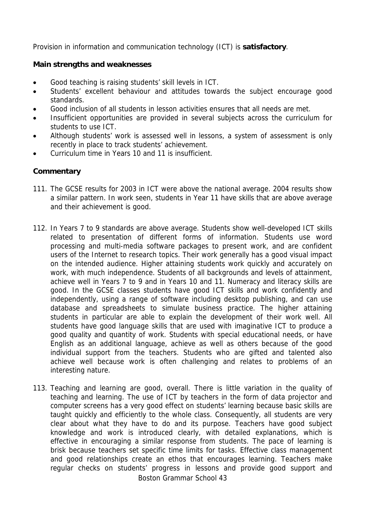Provision in information and communication technology (ICT) is **satisfactory**.

## **Main strengths and weaknesses**

- Good teaching is raising students' skill levels in ICT.
- Students' excellent behaviour and attitudes towards the subject encourage good standards.
- Good inclusion of all students in lesson activities ensures that all needs are met.
- Insufficient opportunities are provided in several subjects across the curriculum for students to use ICT.
- Although students' work is assessed well in lessons, a system of assessment is only recently in place to track students' achievement.
- Curriculum time in Years 10 and 11 is insufficient.

## **Commentary**

- 111. The GCSE results for 2003 in ICT were above the national average. 2004 results show a similar pattern. In work seen, students in Year 11 have skills that are above average and their achievement is good.
- 112. In Years 7 to 9 standards are above average. Students show well-developed ICT skills related to presentation of different forms of information. Students use word processing and multi-media software packages to present work, and are confident users of the Internet to research topics. Their work generally has a good visual impact on the intended audience. Higher attaining students work quickly and accurately on work, with much independence. Students of all backgrounds and levels of attainment, achieve well in Years 7 to 9 and in Years 10 and 11. Numeracy and literacy skills are good. In the GCSE classes students have good ICT skills and work confidently and independently, using a range of software including desktop publishing, and can use database and spreadsheets to simulate business practice. The higher attaining students in particular are able to explain the development of their work well. All students have good language skills that are used with imaginative ICT to produce a good quality and quantity of work. Students with special educational needs, or have English as an additional language, achieve as well as others because of the good individual support from the teachers. Students who are gifted and talented also achieve well because work is often challenging and relates to problems of an interesting nature.
- 113. Teaching and learning are good, overall. There is little variation in the quality of teaching and learning. The use of ICT by teachers in the form of data projector and computer screens has a very good effect on students' learning because basic skills are taught quickly and efficiently to the whole class. Consequently, all students are very clear about what they have to do and its purpose. Teachers have good subject knowledge and work is introduced clearly, with detailed explanations, which is effective in encouraging a similar response from students. The pace of learning is brisk because teachers set specific time limits for tasks. Effective class management and good relationships create an ethos that encourages learning. Teachers make regular checks on students' progress in lessons and provide good support and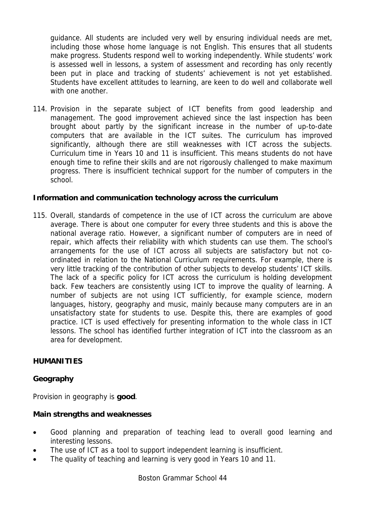guidance. All students are included very well by ensuring individual needs are met, including those whose home language is not English. This ensures that all students make progress. Students respond well to working independently. While students' work is assessed well in lessons, a system of assessment and recording has only recently been put in place and tracking of students' achievement is not yet established. Students have excellent attitudes to learning, are keen to do well and collaborate well with one another.

114. Provision in the separate subject of ICT benefits from good leadership and management. The good improvement achieved since the last inspection has been brought about partly by the significant increase in the number of up-to-date computers that are available in the ICT suites. The curriculum has improved significantly, although there are still weaknesses with ICT across the subjects. Curriculum time in Years 10 and 11 is insufficient. This means students do not have enough time to refine their skills and are not rigorously challenged to make maximum progress. There is insufficient technical support for the number of computers in the school.

## **Information and communication technology across the curriculum**

115. Overall, standards of competence in the use of ICT across the curriculum are above average. There is about one computer for every three students and this is above the national average ratio. However, a significant number of computers are in need of repair, which affects their reliability with which students can use them. The school's arrangements for the use of ICT across all subjects are satisfactory but not coordinated in relation to the National Curriculum requirements. For example, there is very little tracking of the contribution of other subjects to develop students' ICT skills. The lack of a specific policy for ICT across the curriculum is holding development back. Few teachers are consistently using ICT to improve the quality of learning. A number of subjects are not using ICT sufficiently, for example science, modern languages, history, geography and music, mainly because many computers are in an unsatisfactory state for students to use. Despite this, there are examples of good practice. ICT is used effectively for presenting information to the whole class in ICT lessons. The school has identified further integration of ICT into the classroom as an area for development.

### **HUMANITIES**

## **Geography**

Provision in geography is **good**.

### **Main strengths and weaknesses**

- Good planning and preparation of teaching lead to overall good learning and interesting lessons.
- The use of ICT as a tool to support independent learning is insufficient.
- The quality of teaching and learning is very good in Years 10 and 11.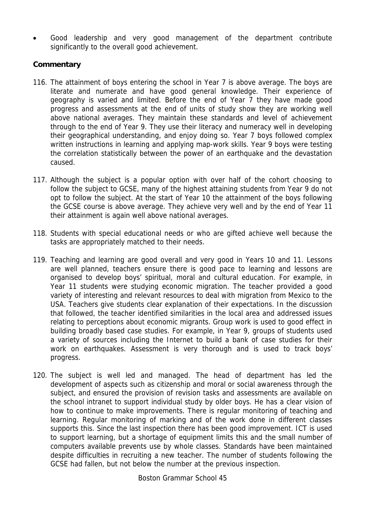Good leadership and very good management of the department contribute significantly to the overall good achievement.

## **Commentary**

- 116. The attainment of boys entering the school in Year 7 is above average. The boys are literate and numerate and have good general knowledge. Their experience of geography is varied and limited. Before the end of Year 7 they have made good progress and assessments at the end of units of study show they are working well above national averages. They maintain these standards and level of achievement through to the end of Year 9. They use their literacy and numeracy well in developing their geographical understanding, and enjoy doing so. Year 7 boys followed complex written instructions in learning and applying map-work skills. Year 9 boys were testing the correlation statistically between the power of an earthquake and the devastation caused.
- 117. Although the subject is a popular option with over half of the cohort choosing to follow the subject to GCSE, many of the highest attaining students from Year 9 do not opt to follow the subject. At the start of Year 10 the attainment of the boys following the GCSE course is above average. They achieve very well and by the end of Year 11 their attainment is again well above national averages.
- 118. Students with special educational needs or who are gifted achieve well because the tasks are appropriately matched to their needs.
- 119. Teaching and learning are good overall and very good in Years 10 and 11. Lessons are well planned, teachers ensure there is good pace to learning and lessons are organised to develop boys' spiritual, moral and cultural education. For example, in Year 11 students were studying economic migration. The teacher provided a good variety of interesting and relevant resources to deal with migration from Mexico to the USA. Teachers give students clear explanation of their expectations. In the discussion that followed, the teacher identified similarities in the local area and addressed issues relating to perceptions about economic migrants. Group work is used to good effect in building broadly based case studies. For example, in Year 9, groups of students used a variety of sources including the Internet to build a bank of case studies for their work on earthquakes. Assessment is very thorough and is used to track boys' progress.
- 120. The subject is well led and managed. The head of department has led the development of aspects such as citizenship and moral or social awareness through the subject, and ensured the provision of revision tasks and assessments are available on the school intranet to support individual study by older boys. He has a clear vision of how to continue to make improvements. There is regular monitoring of teaching and learning. Regular monitoring of marking and of the work done in different classes supports this. Since the last inspection there has been good improvement. ICT is used to support learning, but a shortage of equipment limits this and the small number of computers available prevents use by whole classes. Standards have been maintained despite difficulties in recruiting a new teacher. The number of students following the GCSE had fallen, but not below the number at the previous inspection.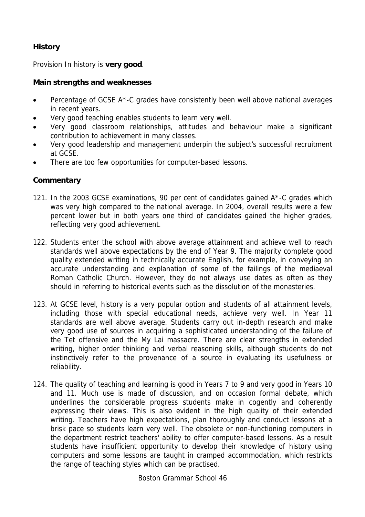# **History**

Provision In history is **very good**.

## **Main strengths and weaknesses**

- Percentage of GCSE A\*-C grades have consistently been well above national averages in recent years.
- Very good teaching enables students to learn very well.
- Very good classroom relationships, attitudes and behaviour make a significant contribution to achievement in many classes.
- Very good leadership and management underpin the subject's successful recruitment at GCSE.
- There are too few opportunities for computer-based lessons.

## **Commentary**

- 121. In the 2003 GCSE examinations, 90 per cent of candidates gained A\*-C grades which was very high compared to the national average. In 2004, overall results were a few percent lower but in both years one third of candidates gained the higher grades, reflecting very good achievement.
- 122. Students enter the school with above average attainment and achieve well to reach standards well above expectations by the end of Year 9. The majority complete good quality extended writing in technically accurate English, for example, in conveying an accurate understanding and explanation of some of the failings of the mediaeval Roman Catholic Church. However, they do not always use dates as often as they should in referring to historical events such as the dissolution of the monasteries.
- 123. At GCSE level, history is a very popular option and students of all attainment levels, including those with special educational needs, achieve very well. In Year 11 standards are well above average. Students carry out in-depth research and make very good use of sources in acquiring a sophisticated understanding of the failure of the Tet offensive and the My Lai massacre. There are clear strengths in extended writing, higher order thinking and verbal reasoning skills, although students do not instinctively refer to the provenance of a source in evaluating its usefulness or reliability.
- 124. The quality of teaching and learning is good in Years 7 to 9 and very good in Years 10 and 11. Much use is made of discussion, and on occasion formal debate, which underlines the considerable progress students make in cogently and coherently expressing their views. This is also evident in the high quality of their extended writing. Teachers have high expectations, plan thoroughly and conduct lessons at a brisk pace so students learn very well. The obsolete or non-functioning computers in the department restrict teachers' ability to offer computer-based lessons. As a result students have insufficient opportunity to develop their knowledge of history using computers and some lessons are taught in cramped accommodation, which restricts the range of teaching styles which can be practised.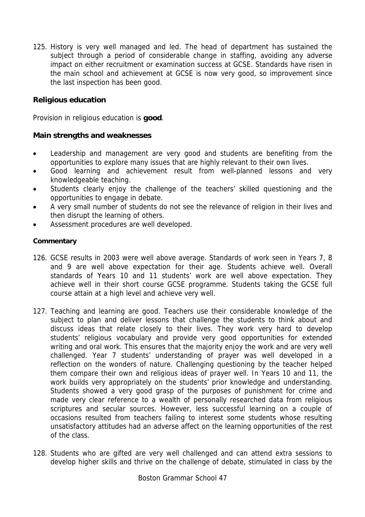125. History is very well managed and led. The head of department has sustained the subject through a period of considerable change in staffing, avoiding any adverse impact on either recruitment or examination success at GCSE. Standards have risen in the main school and achievement at GCSE is now very good, so improvement since the last inspection has been good.

## **Religious education**

Provision in religious education is **good**.

## **Main strengths and weaknesses**

- Leadership and management are very good and students are benefiting from the opportunities to explore many issues that are highly relevant to their own lives.
- Good learning and achievement result from well-planned lessons and very knowledgeable teaching.
- Students clearly enjoy the challenge of the teachers' skilled questioning and the opportunities to engage in debate.
- A very small number of students do not see the relevance of religion in their lives and then disrupt the learning of others.
- Assessment procedures are well developed.

- 126. GCSE results in 2003 were well above average. Standards of work seen in Years 7, 8 and 9 are well above expectation for their age. Students achieve well. Overall standards of Years 10 and 11 students' work are well above expectation. They achieve well in their short course GCSE programme. Students taking the GCSE full course attain at a high level and achieve very well.
- 127. Teaching and learning are good. Teachers use their considerable knowledge of the subject to plan and deliver lessons that challenge the students to think about and discuss ideas that relate closely to their lives. They work very hard to develop students' religious vocabulary and provide very good opportunities for extended writing and oral work. This ensures that the majority enjoy the work and are very well challenged. Year 7 students' understanding of prayer was well developed in a reflection on the wonders of nature. Challenging questioning by the teacher helped them compare their own and religious ideas of prayer well. In Years 10 and 11, the work builds very appropriately on the students' prior knowledge and understanding. Students showed a very good grasp of the purposes of punishment for crime and made very clear reference to a wealth of personally researched data from religious scriptures and secular sources. However, less successful learning on a couple of occasions resulted from teachers failing to interest some students whose resulting unsatisfactory attitudes had an adverse affect on the learning opportunities of the rest of the class.
- 128. Students who are gifted are very well challenged and can attend extra sessions to develop higher skills and thrive on the challenge of debate, stimulated in class by the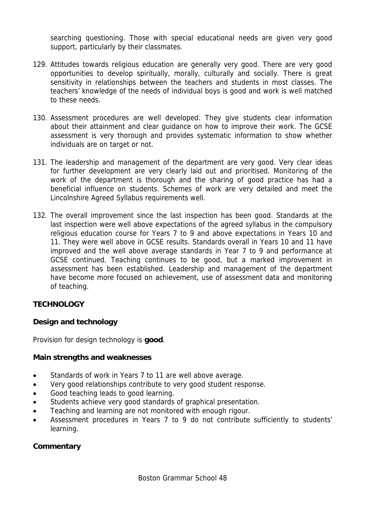searching questioning. Those with special educational needs are given very good support, particularly by their classmates.

- 129. Attitudes towards religious education are generally very good. There are very good opportunities to develop spiritually, morally, culturally and socially. There is great sensitivity in relationships between the teachers and students in most classes. The teachers' knowledge of the needs of individual boys is good and work is well matched to these needs.
- 130. Assessment procedures are well developed. They give students clear information about their attainment and clear guidance on how to improve their work. The GCSE assessment is very thorough and provides systematic information to show whether individuals are on target or not.
- 131. The leadership and management of the department are very good. Very clear ideas for further development are very clearly laid out and prioritised. Monitoring of the work of the department is thorough and the sharing of good practice has had a beneficial influence on students. Schemes of work are very detailed and meet the Lincolnshire Agreed Syllabus requirements well.
- 132. The overall improvement since the last inspection has been good. Standards at the last inspection were well above expectations of the agreed syllabus in the compulsory religious education course for Years 7 to 9 and above expectations in Years 10 and 11. They were well above in GCSE results. Standards overall in Years 10 and 11 have improved and the well above average standards in Year 7 to 9 and performance at GCSE continued. Teaching continues to be good, but a marked improvement in assessment has been established. Leadership and management of the department have become more focused on achievement, use of assessment data and monitoring of teaching.

## **TECHNOLOGY**

## **Design and technology**

Provision for design technology is **good**.

## **Main strengths and weaknesses**

- Standards of work in Years 7 to 11 are well above average.
- Very good relationships contribute to very good student response.
- Good teaching leads to good learning.
- Students achieve very good standards of graphical presentation.
- Teaching and learning are not monitored with enough rigour.
- Assessment procedures in Years 7 to 9 do not contribute sufficiently to students' learning.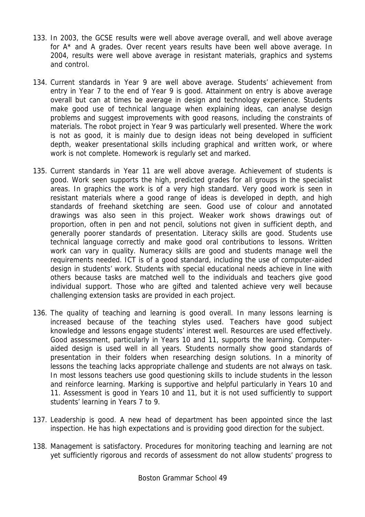- 133. In 2003, the GCSE results were well above average overall, and well above average for A\* and A grades. Over recent years results have been well above average. In 2004, results were well above average in resistant materials, graphics and systems and control.
- 134. Current standards in Year 9 are well above average. Students' achievement from entry in Year 7 to the end of Year 9 is good. Attainment on entry is above average overall but can at times be average in design and technology experience. Students make good use of technical language when explaining ideas, can analyse design problems and suggest improvements with good reasons, including the constraints of materials. The robot project in Year 9 was particularly well presented. Where the work is not as good, it is mainly due to design ideas not being developed in sufficient depth, weaker presentational skills including graphical and written work, or where work is not complete. Homework is regularly set and marked.
- 135. Current standards in Year 11 are well above average. Achievement of students is good. Work seen supports the high, predicted grades for all groups in the specialist areas. In graphics the work is of a very high standard. Very good work is seen in resistant materials where a good range of ideas is developed in depth, and high standards of freehand sketching are seen. Good use of colour and annotated drawings was also seen in this project. Weaker work shows drawings out of proportion, often in pen and not pencil, solutions not given in sufficient depth, and generally poorer standards of presentation. Literacy skills are good. Students use technical language correctly and make good oral contributions to lessons. Written work can vary in quality. Numeracy skills are good and students manage well the requirements needed. ICT is of a good standard, including the use of computer-aided design in students' work. Students with special educational needs achieve in line with others because tasks are matched well to the individuals and teachers give good individual support. Those who are gifted and talented achieve very well because challenging extension tasks are provided in each project.
- 136. The quality of teaching and learning is good overall. In many lessons learning is increased because of the teaching styles used. Teachers have good subject knowledge and lessons engage students' interest well. Resources are used effectively. Good assessment, particularly in Years 10 and 11, supports the learning. Computeraided design is used well in all years. Students normally show good standards of presentation in their folders when researching design solutions. In a minority of lessons the teaching lacks appropriate challenge and students are not always on task. In most lessons teachers use good questioning skills to include students in the lesson and reinforce learning. Marking is supportive and helpful particularly in Years 10 and 11. Assessment is good in Years 10 and 11, but it is not used sufficiently to support students' learning in Years 7 to 9.
- 137. Leadership is good. A new head of department has been appointed since the last inspection. He has high expectations and is providing good direction for the subject.
- 138. Management is satisfactory. Procedures for monitoring teaching and learning are not yet sufficiently rigorous and records of assessment do not allow students' progress to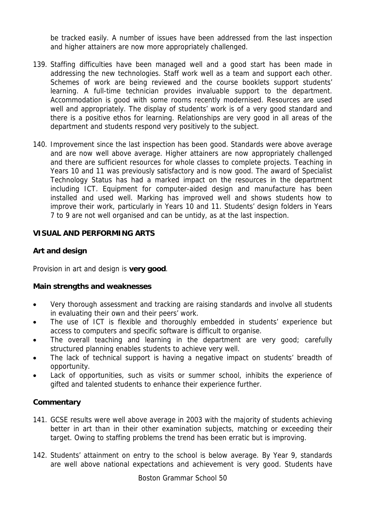be tracked easily. A number of issues have been addressed from the last inspection and higher attainers are now more appropriately challenged.

- 139. Staffing difficulties have been managed well and a good start has been made in addressing the new technologies. Staff work well as a team and support each other. Schemes of work are being reviewed and the course booklets support students' learning. A full-time technician provides invaluable support to the department. Accommodation is good with some rooms recently modernised. Resources are used well and appropriately. The display of students' work is of a very good standard and there is a positive ethos for learning. Relationships are very good in all areas of the department and students respond very positively to the subject.
- 140. Improvement since the last inspection has been good. Standards were above average and are now well above average. Higher attainers are now appropriately challenged and there are sufficient resources for whole classes to complete projects. Teaching in Years 10 and 11 was previously satisfactory and is now good. The award of Specialist Technology Status has had a marked impact on the resources in the department including ICT. Equipment for computer-aided design and manufacture has been installed and used well. Marking has improved well and shows students how to improve their work, particularly in Years 10 and 11. Students' design folders in Years 7 to 9 are not well organised and can be untidy, as at the last inspection.

## **VISUAL AND PERFORMING ARTS**

## **Art and design**

Provision in art and design is **very good**.

### **Main strengths and weaknesses**

- Very thorough assessment and tracking are raising standards and involve all students in evaluating their own and their peers' work.
- The use of ICT is flexible and thoroughly embedded in students' experience but access to computers and specific software is difficult to organise.
- The overall teaching and learning in the department are very good; carefully structured planning enables students to achieve very well.
- The lack of technical support is having a negative impact on students' breadth of opportunity.
- Lack of opportunities, such as visits or summer school, inhibits the experience of gifted and talented students to enhance their experience further.

- 141. GCSE results were well above average in 2003 with the majority of students achieving better in art than in their other examination subjects, matching or exceeding their target. Owing to staffing problems the trend has been erratic but is improving.
- 142. Students' attainment on entry to the school is below average. By Year 9, standards are well above national expectations and achievement is very good. Students have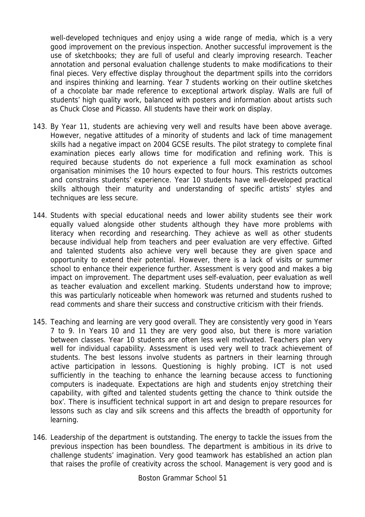well-developed techniques and enjoy using a wide range of media, which is a very good improvement on the previous inspection. Another successful improvement is the use of sketchbooks; they are full of useful and clearly improving research. Teacher annotation and personal evaluation challenge students to make modifications to their final pieces. Very effective display throughout the department spills into the corridors and inspires thinking and learning. Year 7 students working on their outline sketches of a chocolate bar made reference to exceptional artwork display. Walls are full of students' high quality work, balanced with posters and information about artists such as Chuck Close and Picasso. All students have their work on display.

- 143. By Year 11, students are achieving very well and results have been above average. However, negative attitudes of a minority of students and lack of time management skills had a negative impact on 2004 GCSE results. The pilot strategy to complete final examination pieces early allows time for modification and refining work. This is required because students do not experience a full mock examination as school organisation minimises the 10 hours expected to four hours. This restricts outcomes and constrains students' experience. Year 10 students have well-developed practical skills although their maturity and understanding of specific artists' styles and techniques are less secure.
- 144. Students with special educational needs and lower ability students see their work equally valued alongside other students although they have more problems with literacy when recording and researching. They achieve as well as other students because individual help from teachers and peer evaluation are very effective. Gifted and talented students also achieve very well because they are given space and opportunity to extend their potential. However, there is a lack of visits or summer school to enhance their experience further. Assessment is very good and makes a big impact on improvement. The department uses self-evaluation, peer evaluation as well as teacher evaluation and excellent marking. Students understand how to improve; this was particularly noticeable when homework was returned and students rushed to read comments and share their success and constructive criticism with their friends.
- 145. Teaching and learning are very good overall. They are consistently very good in Years 7 to 9. In Years 10 and 11 they are very good also, but there is more variation between classes. Year 10 students are often less well motivated. Teachers plan very well for individual capability. Assessment is used very well to track achievement of students. The best lessons involve students as partners in their learning through active participation in lessons. Questioning is highly probing. ICT is not used sufficiently in the teaching to enhance the learning because access to functioning computers is inadequate. Expectations are high and students enjoy stretching their capability, with gifted and talented students getting the chance to 'think outside the box'. There is insufficient technical support in art and design to prepare resources for lessons such as clay and silk screens and this affects the breadth of opportunity for learning.
- 146. Leadership of the department is outstanding. The energy to tackle the issues from the previous inspection has been boundless. The department is ambitious in its drive to challenge students' imagination. Very good teamwork has established an action plan that raises the profile of creativity across the school. Management is very good and is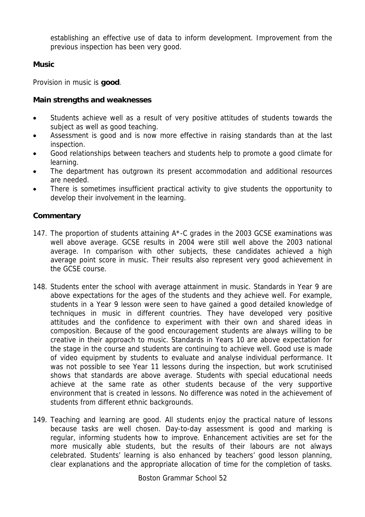establishing an effective use of data to inform development. Improvement from the previous inspection has been very good.

## **Music**

Provision in music is **good**.

## **Main strengths and weaknesses**

- Students achieve well as a result of very positive attitudes of students towards the subject as well as good teaching.
- Assessment is good and is now more effective in raising standards than at the last inspection.
- Good relationships between teachers and students help to promote a good climate for learning.
- The department has outgrown its present accommodation and additional resources are needed.
- There is sometimes insufficient practical activity to give students the opportunity to develop their involvement in the learning.

- 147. The proportion of students attaining A\*-C grades in the 2003 GCSE examinations was well above average. GCSE results in 2004 were still well above the 2003 national average. In comparison with other subjects, these candidates achieved a high average point score in music. Their results also represent very good achievement in the GCSE course.
- 148. Students enter the school with average attainment in music. Standards in Year 9 are above expectations for the ages of the students and they achieve well. For example, students in a Year 9 lesson were seen to have gained a good detailed knowledge of techniques in music in different countries. They have developed very positive attitudes and the confidence to experiment with their own and shared ideas in composition. Because of the good encouragement students are always willing to be creative in their approach to music. Standards in Years 10 are above expectation for the stage in the course and students are continuing to achieve well. Good use is made of video equipment by students to evaluate and analyse individual performance. It was not possible to see Year 11 lessons during the inspection, but work scrutinised shows that standards are above average. Students with special educational needs achieve at the same rate as other students because of the very supportive environment that is created in lessons. No difference was noted in the achievement of students from different ethnic backgrounds.
- 149. Teaching and learning are good. All students enjoy the practical nature of lessons because tasks are well chosen. Day-to-day assessment is good and marking is regular, informing students how to improve. Enhancement activities are set for the more musically able students, but the results of their labours are not always celebrated. Students' learning is also enhanced by teachers' good lesson planning, clear explanations and the appropriate allocation of time for the completion of tasks.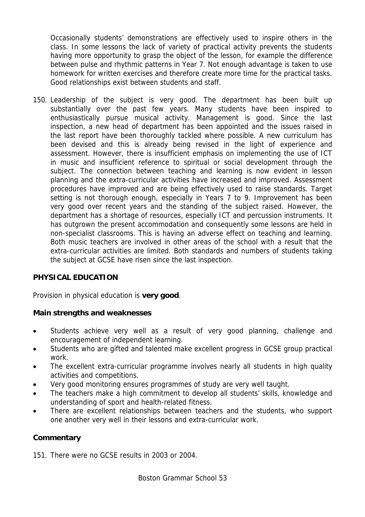Occasionally students' demonstrations are effectively used to inspire others in the class. In some lessons the lack of variety of practical activity prevents the students having more opportunity to grasp the object of the lesson, for example the difference between pulse and rhythmic patterns in Year 7. Not enough advantage is taken to use homework for written exercises and therefore create more time for the practical tasks. Good relationships exist between students and staff.

150. Leadership of the subject is very good. The department has been built up substantially over the past few years. Many students have been inspired to enthusiastically pursue musical activity. Management is good. Since the last inspection, a new head of department has been appointed and the issues raised in the last report have been thoroughly tackled where possible. A new curriculum has been devised and this is already being revised in the light of experience and assessment. However, there is insufficient emphasis on implementing the use of ICT in music and insufficient reference to spiritual or social development through the subject. The connection between teaching and learning is now evident in lesson planning and the extra-curricular activities have increased and improved. Assessment procedures have improved and are being effectively used to raise standards. Target setting is not thorough enough, especially in Years 7 to 9. Improvement has been very good over recent years and the standing of the subject raised. However, the department has a shortage of resources, especially ICT and percussion instruments. It has outgrown the present accommodation and consequently some lessons are held in non-specialist classrooms. This is having an adverse effect on teaching and learning. Both music teachers are involved in other areas of the school with a result that the extra-curricular activities are limited. Both standards and numbers of students taking the subject at GCSE have risen since the last inspection.

# **PHYSICAL EDUCATION**

Provision in physical education is **very good**.

## **Main strengths and weaknesses**

- Students achieve very well as a result of very good planning, challenge and encouragement of independent learning.
- Students who are gifted and talented make excellent progress in GCSE group practical work.
- The excellent extra-curricular programme involves nearly all students in high quality activities and competitions.
- Very good monitoring ensures programmes of study are very well taught.
- The teachers make a high commitment to develop all students' skills, knowledge and understanding of sport and health-related fitness.
- There are excellent relationships between teachers and the students, who support one another very well in their lessons and extra-curricular work.

# **Commentary**

151. There were no GCSE results in 2003 or 2004.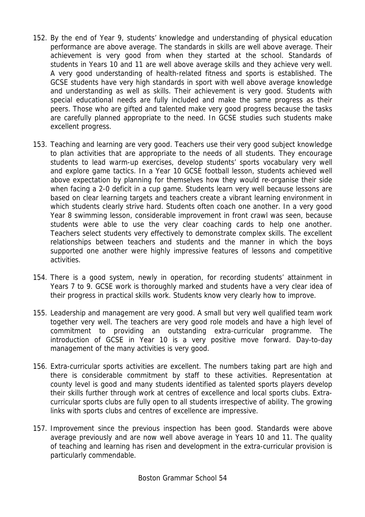- 152. By the end of Year 9, students' knowledge and understanding of physical education performance are above average. The standards in skills are well above average. Their achievement is very good from when they started at the school. Standards of students in Years 10 and 11 are well above average skills and they achieve very well. A very good understanding of health-related fitness and sports is established. The GCSE students have very high standards in sport with well above average knowledge and understanding as well as skills. Their achievement is very good. Students with special educational needs are fully included and make the same progress as their peers. Those who are gifted and talented make very good progress because the tasks are carefully planned appropriate to the need. In GCSE studies such students make excellent progress.
- 153. Teaching and learning are very good. Teachers use their very good subject knowledge to plan activities that are appropriate to the needs of all students. They encourage students to lead warm-up exercises, develop students' sports vocabulary very well and explore game tactics. In a Year 10 GCSE football lesson, students achieved well above expectation by planning for themselves how they would re-organise their side when facing a 2-0 deficit in a cup game. Students learn very well because lessons are based on clear learning targets and teachers create a vibrant learning environment in which students clearly strive hard. Students often coach one another. In a very good Year 8 swimming lesson, considerable improvement in front crawl was seen, because students were able to use the very clear coaching cards to help one another. Teachers select students very effectively to demonstrate complex skills. The excellent relationships between teachers and students and the manner in which the boys supported one another were highly impressive features of lessons and competitive activities.
- 154. There is a good system, newly in operation, for recording students' attainment in Years 7 to 9. GCSE work is thoroughly marked and students have a very clear idea of their progress in practical skills work. Students know very clearly how to improve.
- 155. Leadership and management are very good. A small but very well qualified team work together very well. The teachers are very good role models and have a high level of commitment to providing an outstanding extra-curricular programme. The introduction of GCSE in Year 10 is a very positive move forward. Day-to-day management of the many activities is very good.
- 156. Extra-curricular sports activities are excellent. The numbers taking part are high and there is considerable commitment by staff to these activities. Representation at county level is good and many students identified as talented sports players develop their skills further through work at centres of excellence and local sports clubs. Extracurricular sports clubs are fully open to all students irrespective of ability. The growing links with sports clubs and centres of excellence are impressive.
- 157. Improvement since the previous inspection has been good. Standards were above average previously and are now well above average in Years 10 and 11. The quality of teaching and learning has risen and development in the extra-curricular provision is particularly commendable.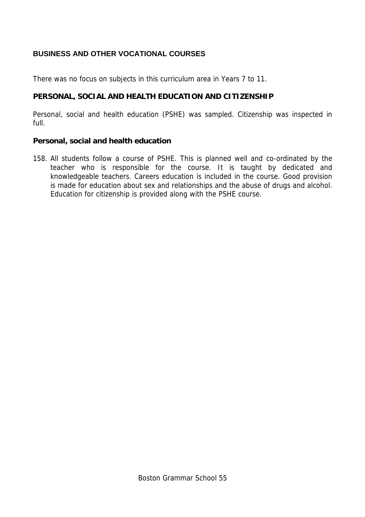## **BUSINESS AND OTHER VOCATIONAL COURSES**

There was no focus on subjects in this curriculum area in Years 7 to 11.

## **PERSONAL, SOCIAL AND HEALTH EDUCATION AND CITIZENSHIP**

Personal, social and health education (PSHE) was sampled. Citizenship was inspected in full.

## **Personal, social and health education**

158. All students follow a course of PSHE. This is planned well and co-ordinated by the teacher who is responsible for the course. It is taught by dedicated and knowledgeable teachers. Careers education is included in the course. Good provision is made for education about sex and relationships and the abuse of drugs and alcohol. Education for citizenship is provided along with the PSHE course.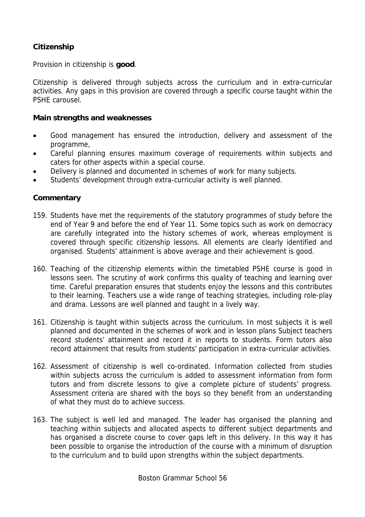## **Citizenship**

Provision in citizenship is **good**.

Citizenship is delivered through subjects across the curriculum and in extra-curricular activities. Any gaps in this provision are covered through a specific course taught within the PSHE carousel.

### **Main strengths and weaknesses**

- Good management has ensured the introduction, delivery and assessment of the programme,
- Careful planning ensures maximum coverage of requirements within subjects and caters for other aspects within a special course.
- Delivery is planned and documented in schemes of work for many subjects.
- Students' development through extra-curricular activity is well planned.

- 159. Students have met the requirements of the statutory programmes of study before the end of Year 9 and before the end of Year 11. Some topics such as work on democracy are carefully integrated into the history schemes of work, whereas employment is covered through specific citizenship lessons. All elements are clearly identified and organised. Students' attainment is above average and their achievement is good.
- 160. Teaching of the citizenship elements within the timetabled PSHE course is good in lessons seen. The scrutiny of work confirms this quality of teaching and learning over time. Careful preparation ensures that students enjoy the lessons and this contributes to their learning. Teachers use a wide range of teaching strategies, including role-play and drama. Lessons are well planned and taught in a lively way.
- 161. Citizenship is taught within subjects across the curriculum. In most subjects it is well planned and documented in the schemes of work and in lesson plans Subject teachers record students' attainment and record it in reports to students. Form tutors also record attainment that results from students' participation in extra-curricular activities.
- 162. Assessment of citizenship is well co-ordinated. Information collected from studies within subjects across the curriculum is added to assessment information from form tutors and from discrete lessons to give a complete picture of students' progress. Assessment criteria are shared with the boys so they benefit from an understanding of what they must do to achieve success.
- 163. The subject is well led and managed. The leader has organised the planning and teaching within subjects and allocated aspects to different subject departments and has organised a discrete course to cover gaps left in this delivery. In this way it has been possible to organise the introduction of the course with a minimum of disruption to the curriculum and to build upon strengths within the subject departments.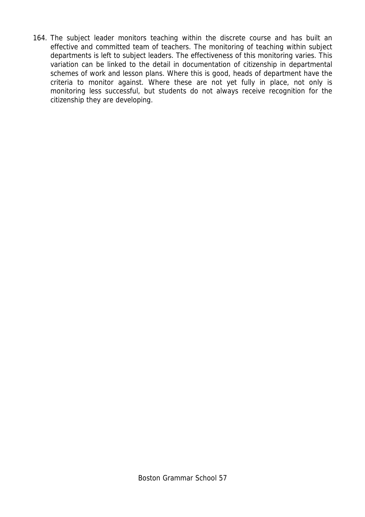164. The subject leader monitors teaching within the discrete course and has built an effective and committed team of teachers. The monitoring of teaching within subject departments is left to subject leaders. The effectiveness of this monitoring varies. This variation can be linked to the detail in documentation of citizenship in departmental schemes of work and lesson plans. Where this is good, heads of department have the criteria to monitor against. Where these are not yet fully in place, not only is monitoring less successful, but students do not always receive recognition for the citizenship they are developing.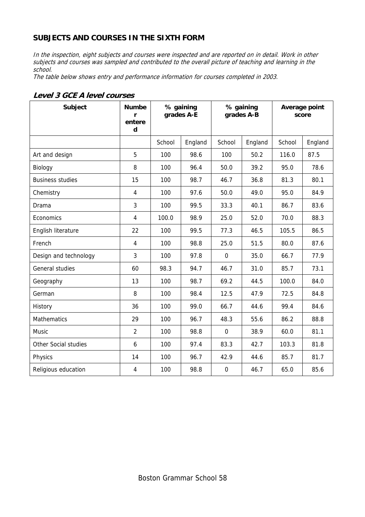## **SUBJECTS AND COURSES IN THE SIXTH FORM**

In the inspection, eight subjects and courses were inspected and are reported on in detail. Work in other subjects and courses was sampled and contributed to the overall picture of teaching and learning in the school.

The table below shows entry and performance information for courses completed in 2003.

| Subject                 | <b>Numbe</b><br>r<br>entere<br>d | % gaining<br>grades A-E |         | % gaining<br>grades A-B |         | Average point<br>score |         |
|-------------------------|----------------------------------|-------------------------|---------|-------------------------|---------|------------------------|---------|
|                         |                                  | School                  | England | School                  | England | School                 | England |
| Art and design          | 5                                | 100                     | 98.6    | 100                     | 50.2    | 116.0                  | 87.5    |
| Biology                 | 8                                | 100                     | 96.4    | 50.0                    | 39.2    | 95.0                   | 78.6    |
| <b>Business studies</b> | 15                               | 100                     | 98.7    | 46.7                    | 36.8    | 81.3                   | 80.1    |
| Chemistry               | 4                                | 100                     | 97.6    | 50.0                    | 49.0    | 95.0                   | 84.9    |
| Drama                   | 3                                | 100                     | 99.5    | 33.3                    | 40.1    | 86.7                   | 83.6    |
| Economics               | 4                                | 100.0                   | 98.9    | 25.0                    | 52.0    | 70.0                   | 88.3    |
| English literature      | 22                               | 100                     | 99.5    | 77.3                    | 46.5    | 105.5                  | 86.5    |
| French                  | $\overline{4}$                   | 100                     | 98.8    | 25.0                    | 51.5    | 80.0                   | 87.6    |
| Design and technology   | 3                                | 100                     | 97.8    | $\mathbf 0$             | 35.0    | 66.7                   | 77.9    |
| General studies         | 60                               | 98.3                    | 94.7    | 46.7                    | 31.0    | 85.7                   | 73.1    |
| Geography               | 13                               | 100                     | 98.7    | 69.2                    | 44.5    | 100.0                  | 84.0    |
| German                  | 8                                | 100                     | 98.4    | 12.5                    | 47.9    | 72.5                   | 84.8    |
| History                 | 36                               | 100                     | 99.0    | 66.7                    | 44.6    | 99.4                   | 84.6    |
| <b>Mathematics</b>      | 29                               | 100                     | 96.7    | 48.3                    | 55.6    | 86.2                   | 88.8    |
| <b>Music</b>            | $\overline{2}$                   | 100                     | 98.8    | $\mathbf 0$             | 38.9    | 60.0                   | 81.1    |
| Other Social studies    | 6                                | 100                     | 97.4    | 83.3                    | 42.7    | 103.3                  | 81.8    |
| Physics                 | 14                               | 100                     | 96.7    | 42.9                    | 44.6    | 85.7                   | 81.7    |
| Religious education     | 4                                | 100                     | 98.8    | $\mathbf 0$             | 46.7    | 65.0                   | 85.6    |

#### **Level 3 GCE A level courses**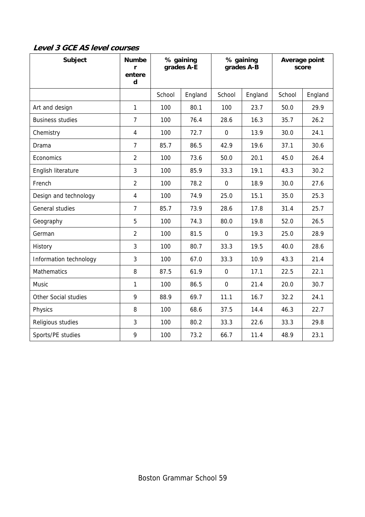| Subject                 | <b>Numbe</b><br>r<br>entere<br>d | % gaining<br>grades A-E |         | % gaining<br>grades A-B |         | Average point<br>score |         |
|-------------------------|----------------------------------|-------------------------|---------|-------------------------|---------|------------------------|---------|
|                         |                                  | School                  | England | School                  | England | School                 | England |
| Art and design          | $\mathbf{1}$                     | 100                     | 80.1    | 100                     | 23.7    | 50.0                   | 29.9    |
| <b>Business studies</b> | $\overline{7}$                   | 100                     | 76.4    | 28.6                    | 16.3    | 35.7                   | 26.2    |
| Chemistry               | $\overline{4}$                   | 100                     | 72.7    | $\mathbf 0$             | 13.9    | 30.0                   | 24.1    |
| Drama                   | $\overline{7}$                   | 85.7                    | 86.5    | 42.9                    | 19.6    | 37.1                   | 30.6    |
| Economics               | $\overline{2}$                   | 100                     | 73.6    | 50.0                    | 20.1    | 45.0                   | 26.4    |
| English literature      | 3                                | 100                     | 85.9    | 33.3                    | 19.1    | 43.3                   | 30.2    |
| French                  | $\overline{2}$                   | 100                     | 78.2    | $\mathbf 0$             | 18.9    | 30.0                   | 27.6    |
| Design and technology   | $\overline{4}$                   | 100                     | 74.9    | 25.0                    | 15.1    | 35.0                   | 25.3    |
| General studies         | $\overline{7}$                   | 85.7                    | 73.9    | 28.6                    | 17.8    | 31.4                   | 25.7    |
| Geography               | 5                                | 100                     | 74.3    | 80.0                    | 19.8    | 52.0                   | 26.5    |
| German                  | $\overline{2}$                   | 100                     | 81.5    | $\mathbf 0$             | 19.3    | 25.0                   | 28.9    |
| History                 | 3                                | 100                     | 80.7    | 33.3                    | 19.5    | 40.0                   | 28.6    |
| Information technology  | 3                                | 100                     | 67.0    | 33.3                    | 10.9    | 43.3                   | 21.4    |
| <b>Mathematics</b>      | 8                                | 87.5                    | 61.9    | $\mathbf 0$             | 17.1    | 22.5                   | 22.1    |
| <b>Music</b>            | 1                                | 100                     | 86.5    | $\mathbf 0$             | 21.4    | 20.0                   | 30.7    |
| Other Social studies    | 9                                | 88.9                    | 69.7    | 11.1                    | 16.7    | 32.2                   | 24.1    |
| Physics                 | 8                                | 100                     | 68.6    | 37.5                    | 14.4    | 46.3                   | 22.7    |
| Religious studies       | 3                                | 100                     | 80.2    | 33.3                    | 22.6    | 33.3                   | 29.8    |
| Sports/PE studies       | 9                                | 100                     | 73.2    | 66.7                    | 11.4    | 48.9                   | 23.1    |

**Level 3 GCE AS level courses**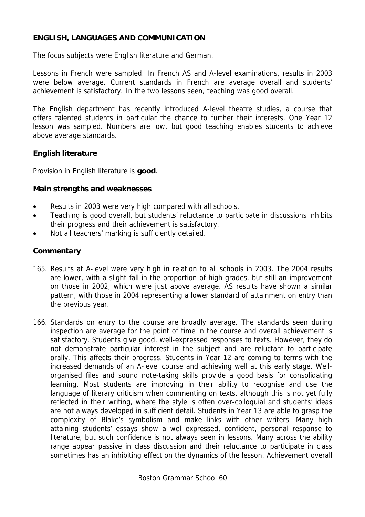## **ENGLISH, LANGUAGES AND COMMUNICATION**

The focus subjects were English literature and German.

Lessons in French were sampled. In French AS and A-level examinations, results in 2003 were below average. Current standards in French are average overall and students' achievement is satisfactory. In the two lessons seen, teaching was good overall.

The English department has recently introduced A-level theatre studies, a course that offers talented students in particular the chance to further their interests. One Year 12 lesson was sampled. Numbers are low, but good teaching enables students to achieve above average standards.

## **English literature**

Provision in English literature is **good**.

## **Main strengths and weaknesses**

- Results in 2003 were very high compared with all schools.
- Teaching is good overall, but students' reluctance to participate in discussions inhibits their progress and their achievement is satisfactory.
- Not all teachers' marking is sufficiently detailed.

- 165. Results at A-level were very high in relation to all schools in 2003. The 2004 results are lower, with a slight fall in the proportion of high grades, but still an improvement on those in 2002, which were just above average. AS results have shown a similar pattern, with those in 2004 representing a lower standard of attainment on entry than the previous year.
- 166. Standards on entry to the course are broadly average. The standards seen during inspection are average for the point of time in the course and overall achievement is satisfactory. Students give good, well-expressed responses to texts. However, they do not demonstrate particular interest in the subject and are reluctant to participate orally. This affects their progress. Students in Year 12 are coming to terms with the increased demands of an A-level course and achieving well at this early stage. Wellorganised files and sound note-taking skills provide a good basis for consolidating learning. Most students are improving in their ability to recognise and use the language of literary criticism when commenting on texts, although this is not yet fully reflected in their writing, where the style is often over-colloquial and students' ideas are not always developed in sufficient detail. Students in Year 13 are able to grasp the complexity of Blake's symbolism and make links with other writers. Many high attaining students' essays show a well-expressed, confident, personal response to literature, but such confidence is not always seen in lessons. Many across the ability range appear passive in class discussion and their reluctance to participate in class sometimes has an inhibiting effect on the dynamics of the lesson. Achievement overall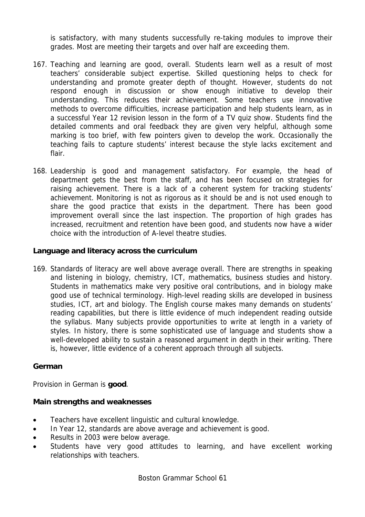is satisfactory, with many students successfully re-taking modules to improve their grades. Most are meeting their targets and over half are exceeding them.

- 167. Teaching and learning are good, overall. Students learn well as a result of most teachers' considerable subject expertise. Skilled questioning helps to check for understanding and promote greater depth of thought. However, students do not respond enough in discussion or show enough initiative to develop their understanding. This reduces their achievement. Some teachers use innovative methods to overcome difficulties, increase participation and help students learn, as in a successful Year 12 revision lesson in the form of a TV quiz show. Students find the detailed comments and oral feedback they are given very helpful, although some marking is too brief, with few pointers given to develop the work. Occasionally the teaching fails to capture students' interest because the style lacks excitement and flair.
- 168. Leadership is good and management satisfactory. For example, the head of department gets the best from the staff, and has been focused on strategies for raising achievement. There is a lack of a coherent system for tracking students' achievement. Monitoring is not as rigorous as it should be and is not used enough to share the good practice that exists in the department. There has been good improvement overall since the last inspection. The proportion of high grades has increased, recruitment and retention have been good, and students now have a wider choice with the introduction of A-level theatre studies.

## **Language and literacy across the curriculum**

169. Standards of literacy are well above average overall. There are strengths in speaking and listening in biology, chemistry, ICT, mathematics, business studies and history. Students in mathematics make very positive oral contributions, and in biology make good use of technical terminology. High-level reading skills are developed in business studies, ICT, art and biology. The English course makes many demands on students' reading capabilities, but there is little evidence of much independent reading outside the syllabus. Many subjects provide opportunities to write at length in a variety of styles. In history, there is some sophisticated use of language and students show a well-developed ability to sustain a reasoned argument in depth in their writing. There is, however, little evidence of a coherent approach through all subjects.

## **German**

Provision in German is **good**.

### **Main strengths and weaknesses**

- Teachers have excellent linguistic and cultural knowledge.
- In Year 12, standards are above average and achievement is good.
- Results in 2003 were below average.
- Students have very good attitudes to learning, and have excellent working relationships with teachers.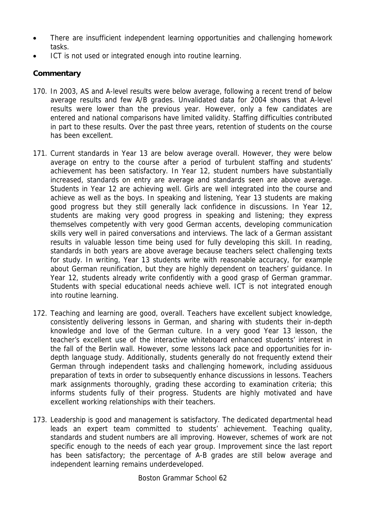- There are insufficient independent learning opportunities and challenging homework tasks.
- ICT is not used or integrated enough into routine learning.

## **Commentary**

- 170. In 2003, AS and A-level results were below average, following a recent trend of below average results and few A/B grades. Unvalidated data for 2004 shows that A-level results were lower than the previous year. However, only a few candidates are entered and national comparisons have limited validity. Staffing difficulties contributed in part to these results. Over the past three years, retention of students on the course has been excellent.
- 171. Current standards in Year 13 are below average overall. However, they were below average on entry to the course after a period of turbulent staffing and students' achievement has been satisfactory. In Year 12, student numbers have substantially increased, standards on entry are average and standards seen are above average. Students in Year 12 are achieving well. Girls are well integrated into the course and achieve as well as the boys. In speaking and listening, Year 13 students are making good progress but they still generally lack confidence in discussions. In Year 12, students are making very good progress in speaking and listening; they express themselves competently with very good German accents, developing communication skills very well in paired conversations and interviews. The lack of a German assistant results in valuable lesson time being used for fully developing this skill. In reading, standards in both years are above average because teachers select challenging texts for study. In writing, Year 13 students write with reasonable accuracy, for example about German reunification, but they are highly dependent on teachers' guidance. In Year 12, students already write confidently with a good grasp of German grammar. Students with special educational needs achieve well. ICT is not integrated enough into routine learning.
- 172. Teaching and learning are good, overall. Teachers have excellent subject knowledge, consistently delivering lessons in German, and sharing with students their in-depth knowledge and love of the German culture. In a very good Year 13 lesson, the teacher's excellent use of the interactive whiteboard enhanced students' interest in the fall of the Berlin wall. However, some lessons lack pace and opportunities for indepth language study. Additionally, students generally do not frequently extend their German through independent tasks and challenging homework, including assiduous preparation of texts in order to subsequently enhance discussions in lessons. Teachers mark assignments thoroughly, grading these according to examination criteria; this informs students fully of their progress. Students are highly motivated and have excellent working relationships with their teachers.
- 173. Leadership is good and management is satisfactory. The dedicated departmental head leads an expert team committed to students' achievement. Teaching quality, standards and student numbers are all improving. However, schemes of work are not specific enough to the needs of each year group. Improvement since the last report has been satisfactory; the percentage of A-B grades are still below average and independent learning remains underdeveloped.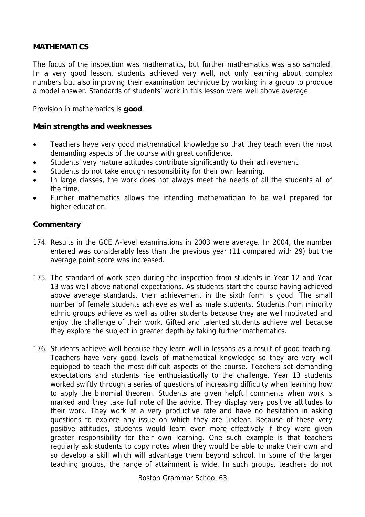## **MATHEMATICS**

The focus of the inspection was mathematics, but further mathematics was also sampled. In a very good lesson, students achieved very well, not only learning about complex numbers but also improving their examination technique by working in a group to produce a model answer. Standards of students' work in this lesson were well above average.

Provision in mathematics is **good**.

### **Main strengths and weaknesses**

- Teachers have very good mathematical knowledge so that they teach even the most demanding aspects of the course with great confidence.
- Students' very mature attitudes contribute significantly to their achievement.
- Students do not take enough responsibility for their own learning.
- In large classes, the work does not always meet the needs of all the students all of the time.
- Further mathematics allows the intending mathematician to be well prepared for higher education.

### **Commentary**

- 174. Results in the GCE A-level examinations in 2003 were average. In 2004, the number entered was considerably less than the previous year (11 compared with 29) but the average point score was increased.
- 175. The standard of work seen during the inspection from students in Year 12 and Year 13 was well above national expectations. As students start the course having achieved above average standards, their achievement in the sixth form is good. The small number of female students achieve as well as male students. Students from minority ethnic groups achieve as well as other students because they are well motivated and enjoy the challenge of their work. Gifted and talented students achieve well because they explore the subject in greater depth by taking further mathematics.
- 176. Students achieve well because they learn well in lessons as a result of good teaching. Teachers have very good levels of mathematical knowledge so they are very well equipped to teach the most difficult aspects of the course. Teachers set demanding expectations and students rise enthusiastically to the challenge. Year 13 students worked swiftly through a series of questions of increasing difficulty when learning how to apply the binomial theorem. Students are given helpful comments when work is marked and they take full note of the advice. They display very positive attitudes to their work. They work at a very productive rate and have no hesitation in asking questions to explore any issue on which they are unclear. Because of these very positive attitudes, students would learn even more effectively if they were given greater responsibility for their own learning. One such example is that teachers regularly ask students to copy notes when they would be able to make their own and so develop a skill which will advantage them beyond school. In some of the larger teaching groups, the range of attainment is wide. In such groups, teachers do not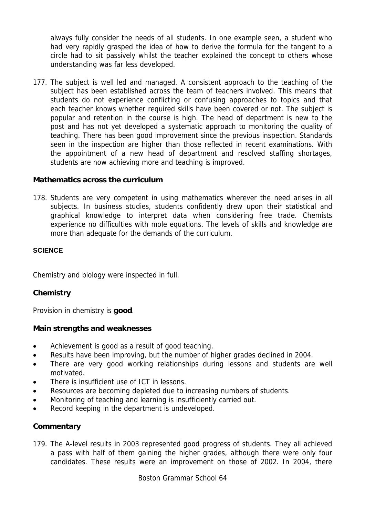always fully consider the needs of all students. In one example seen, a student who had very rapidly grasped the idea of how to derive the formula for the tangent to a circle had to sit passively whilst the teacher explained the concept to others whose understanding was far less developed.

177. The subject is well led and managed. A consistent approach to the teaching of the subject has been established across the team of teachers involved. This means that students do not experience conflicting or confusing approaches to topics and that each teacher knows whether required skills have been covered or not. The subject is popular and retention in the course is high. The head of department is new to the post and has not yet developed a systematic approach to monitoring the quality of teaching. There has been good improvement since the previous inspection. Standards seen in the inspection are higher than those reflected in recent examinations. With the appointment of a new head of department and resolved staffing shortages, students are now achieving more and teaching is improved.

## **Mathematics across the curriculum**

178. Students are very competent in using mathematics wherever the need arises in all subjects. In business studies, students confidently drew upon their statistical and graphical knowledge to interpret data when considering free trade. Chemists experience no difficulties with mole equations. The levels of skills and knowledge are more than adequate for the demands of the curriculum.

### **SCIENCE**

Chemistry and biology were inspected in full.

## **Chemistry**

Provision in chemistry is **good**.

### **Main strengths and weaknesses**

- Achievement is good as a result of good teaching.
- Results have been improving, but the number of higher grades declined in 2004.
- There are very good working relationships during lessons and students are well motivated.
- There is insufficient use of ICT in lessons.
- Resources are becoming depleted due to increasing numbers of students.
- Monitoring of teaching and learning is insufficiently carried out.
- Record keeping in the department is undeveloped.

## **Commentary**

179. The A-level results in 2003 represented good progress of students. They all achieved a pass with half of them gaining the higher grades, although there were only four candidates. These results were an improvement on those of 2002. In 2004, there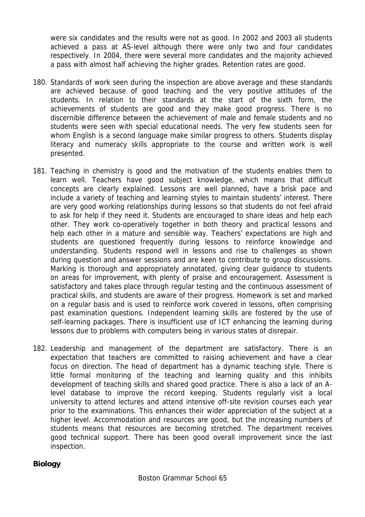were six candidates and the results were not as good. In 2002 and 2003 all students achieved a pass at AS-level although there were only two and four candidates respectively. In 2004, there were several more candidates and the majority achieved a pass with almost half achieving the higher grades. Retention rates are good.

- 180. Standards of work seen during the inspection are above average and these standards are achieved because of good teaching and the very positive attitudes of the students. In relation to their standards at the start of the sixth form, the achievements of students are good and they make good progress. There is no discernible difference between the achievement of male and female students and no students were seen with special educational needs. The very few students seen for whom English is a second language make similar progress to others. Students display literacy and numeracy skills appropriate to the course and written work is well presented.
- 181. Teaching in chemistry is good and the motivation of the students enables them to learn well. Teachers have good subject knowledge, which means that difficult concepts are clearly explained. Lessons are well planned, have a brisk pace and include a variety of teaching and learning styles to maintain students' interest. There are very good working relationships during lessons so that students do not feel afraid to ask for help if they need it. Students are encouraged to share ideas and help each other. They work co-operatively together in both theory and practical lessons and help each other in a mature and sensible way. Teachers' expectations are high and students are questioned frequently during lessons to reinforce knowledge and understanding. Students respond well in lessons and rise to challenges as shown during question and answer sessions and are keen to contribute to group discussions. Marking is thorough and appropriately annotated, giving clear guidance to students on areas for improvement, with plenty of praise and encouragement. Assessment is satisfactory and takes place through regular testing and the continuous assessment of practical skills, and students are aware of their progress. Homework is set and marked on a regular basis and is used to reinforce work covered in lessons, often comprising past examination questions. Independent learning skills are fostered by the use of self-learning packages. There is insufficient use of ICT enhancing the learning during lessons due to problems with computers being in various states of disrepair.
- 182. Leadership and management of the department are satisfactory. There is an expectation that teachers are committed to raising achievement and have a clear focus on direction. The head of department has a dynamic teaching style. There is little formal monitoring of the teaching and learning quality and this inhibits development of teaching skills and shared good practice. There is also a lack of an Alevel database to improve the record keeping. Students regularly visit a local university to attend lectures and attend intensive off-site revision courses each year prior to the examinations. This enhances their wider appreciation of the subject at a higher level. Accommodation and resources are good, but the increasing numbers of students means that resources are becoming stretched. The department receives good technical support. There has been good overall improvement since the last inspection.

## **Biology**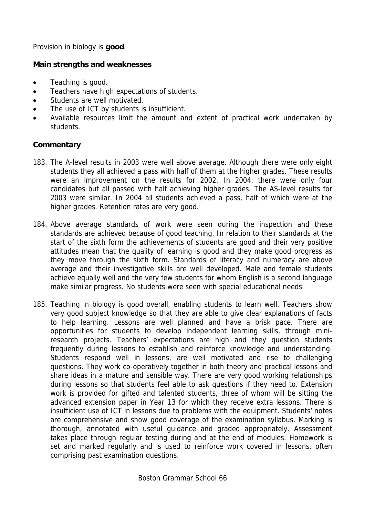Provision in biology is **good**.

## **Main strengths and weaknesses**

- Teaching is good.
- Teachers have high expectations of students.
- Students are well motivated.
- The use of ICT by students is insufficient.
- Available resources limit the amount and extent of practical work undertaken by students.

- 183. The A-level results in 2003 were well above average. Although there were only eight students they all achieved a pass with half of them at the higher grades. These results were an improvement on the results for 2002. In 2004, there were only four candidates but all passed with half achieving higher grades. The AS-level results for 2003 were similar. In 2004 all students achieved a pass, half of which were at the higher grades. Retention rates are very good.
- 184. Above average standards of work were seen during the inspection and these standards are achieved because of good teaching. In relation to their standards at the start of the sixth form the achievements of students are good and their very positive attitudes mean that the quality of learning is good and they make good progress as they move through the sixth form. Standards of literacy and numeracy are above average and their investigative skills are well developed. Male and female students achieve equally well and the very few students for whom English is a second language make similar progress. No students were seen with special educational needs.
- 185. Teaching in biology is good overall, enabling students to learn well. Teachers show very good subject knowledge so that they are able to give clear explanations of facts to help learning. Lessons are well planned and have a brisk pace. There are opportunities for students to develop independent learning skills, through miniresearch projects. Teachers' expectations are high and they question students frequently during lessons to establish and reinforce knowledge and understanding. Students respond well in lessons, are well motivated and rise to challenging questions. They work co-operatively together in both theory and practical lessons and share ideas in a mature and sensible way. There are very good working relationships during lessons so that students feel able to ask questions if they need to. Extension work is provided for gifted and talented students, three of whom will be sitting the advanced extension paper in Year 13 for which they receive extra lessons. There is insufficient use of ICT in lessons due to problems with the equipment. Students' notes are comprehensive and show good coverage of the examination syllabus. Marking is thorough, annotated with useful guidance and graded appropriately. Assessment takes place through regular testing during and at the end of modules. Homework is set and marked regularly and is used to reinforce work covered in lessons, often comprising past examination questions.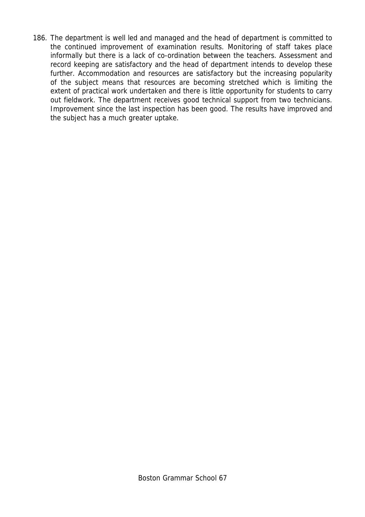186. The department is well led and managed and the head of department is committed to the continued improvement of examination results. Monitoring of staff takes place informally but there is a lack of co-ordination between the teachers. Assessment and record keeping are satisfactory and the head of department intends to develop these further. Accommodation and resources are satisfactory but the increasing popularity of the subject means that resources are becoming stretched which is limiting the extent of practical work undertaken and there is little opportunity for students to carry out fieldwork. The department receives good technical support from two technicians. Improvement since the last inspection has been good. The results have improved and the subject has a much greater uptake.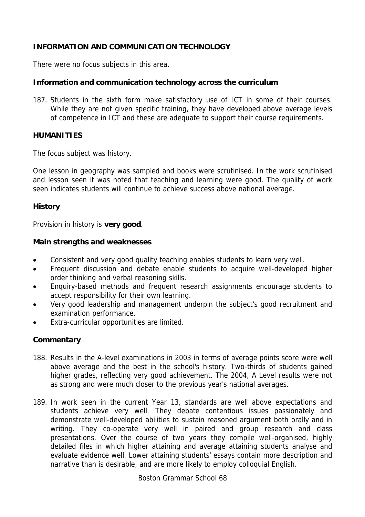## **INFORMATION AND COMMUNICATION TECHNOLOGY**

There were no focus subjects in this area.

## **Information and communication technology across the curriculum**

187. Students in the sixth form make satisfactory use of ICT in some of their courses. While they are not given specific training, they have developed above average levels of competence in ICT and these are adequate to support their course requirements.

### **HUMANITIES**

The focus subject was history.

One lesson in geography was sampled and books were scrutinised. In the work scrutinised and lesson seen it was noted that teaching and learning were good. The quality of work seen indicates students will continue to achieve success above national average.

### **History**

Provision in history is **very good**.

### **Main strengths and weaknesses**

- Consistent and very good quality teaching enables students to learn very well.
- Frequent discussion and debate enable students to acquire well-developed higher order thinking and verbal reasoning skills.
- Enquiry-based methods and frequent research assignments encourage students to accept responsibility for their own learning.
- Very good leadership and management underpin the subject's good recruitment and examination performance.
- Extra-curricular opportunities are limited.

## **Commentary**

- 188. Results in the A-level examinations in 2003 in terms of average points score were well above average and the best in the school's history. Two-thirds of students gained higher grades, reflecting very good achievement. The 2004, A Level results were not as strong and were much closer to the previous year's national averages.
- 189. In work seen in the current Year 13, standards are well above expectations and students achieve very well. They debate contentious issues passionately and demonstrate well-developed abilities to sustain reasoned argument both orally and in writing. They co-operate very well in paired and group research and class presentations. Over the course of two years they compile well-organised, highly detailed files in which higher attaining and average attaining students analyse and evaluate evidence well. Lower attaining students' essays contain more description and narrative than is desirable, and are more likely to employ colloquial English.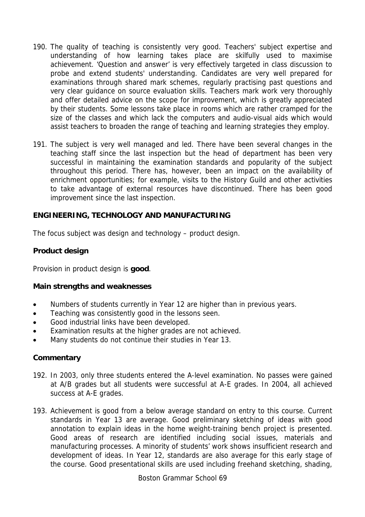- 190. The quality of teaching is consistently very good. Teachers' subject expertise and understanding of how learning takes place are skilfully used to maximise achievement. 'Question and answer' is very effectively targeted in class discussion to probe and extend students' understanding. Candidates are very well prepared for examinations through shared mark schemes, regularly practising past questions and very clear guidance on source evaluation skills. Teachers mark work very thoroughly and offer detailed advice on the scope for improvement, which is greatly appreciated by their students. Some lessons take place in rooms which are rather cramped for the size of the classes and which lack the computers and audio-visual aids which would assist teachers to broaden the range of teaching and learning strategies they employ.
- 191. The subject is very well managed and led. There have been several changes in the teaching staff since the last inspection but the head of department has been very successful in maintaining the examination standards and popularity of the subject throughout this period. There has, however, been an impact on the availability of enrichment opportunities; for example, visits to the History Guild and other activities to take advantage of external resources have discontinued. There has been good improvement since the last inspection.

## **ENGINEERING, TECHNOLOGY AND MANUFACTURING**

The focus subject was design and technology – product design.

### **Product design**

Provision in product design is **good**.

#### **Main strengths and weaknesses**

- Numbers of students currently in Year 12 are higher than in previous years.
- Teaching was consistently good in the lessons seen.
- Good industrial links have been developed.
- Examination results at the higher grades are not achieved.
- Many students do not continue their studies in Year 13.

### **Commentary**

- 192. In 2003, only three students entered the A-level examination. No passes were gained at A/B grades but all students were successful at A-E grades. In 2004, all achieved success at A-E grades.
- 193. Achievement is good from a below average standard on entry to this course. Current standards in Year 13 are average. Good preliminary sketching of ideas with good annotation to explain ideas in the home weight-training bench project is presented. Good areas of research are identified including social issues, materials and manufacturing processes. A minority of students' work shows insufficient research and development of ideas. In Year 12, standards are also average for this early stage of the course. Good presentational skills are used including freehand sketching, shading,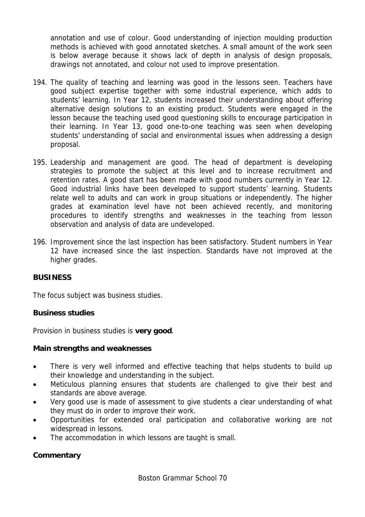annotation and use of colour. Good understanding of injection moulding production methods is achieved with good annotated sketches. A small amount of the work seen is below average because it shows lack of depth in analysis of design proposals, drawings not annotated, and colour not used to improve presentation.

- 194. The quality of teaching and learning was good in the lessons seen. Teachers have good subject expertise together with some industrial experience, which adds to students' learning. In Year 12, students increased their understanding about offering alternative design solutions to an existing product. Students were engaged in the lesson because the teaching used good questioning skills to encourage participation in their learning. In Year 13, good one-to-one teaching was seen when developing students' understanding of social and environmental issues when addressing a design proposal.
- 195. Leadership and management are good. The head of department is developing strategies to promote the subject at this level and to increase recruitment and retention rates. A good start has been made with good numbers currently in Year 12. Good industrial links have been developed to support students' learning. Students relate well to adults and can work in group situations or independently. The higher grades at examination level have not been achieved recently, and monitoring procedures to identify strengths and weaknesses in the teaching from lesson observation and analysis of data are undeveloped.
- 196. Improvement since the last inspection has been satisfactory. Student numbers in Year 12 have increased since the last inspection. Standards have not improved at the higher grades.

## **BUSINESS**

The focus subject was business studies.

## **Business studies**

Provision in business studies is **very good**.

## **Main strengths and weaknesses**

- There is very well informed and effective teaching that helps students to build up their knowledge and understanding in the subject.
- Meticulous planning ensures that students are challenged to give their best and standards are above average.
- Very good use is made of assessment to give students a clear understanding of what they must do in order to improve their work.
- Opportunities for extended oral participation and collaborative working are not widespread in lessons.
- The accommodation in which lessons are taught is small.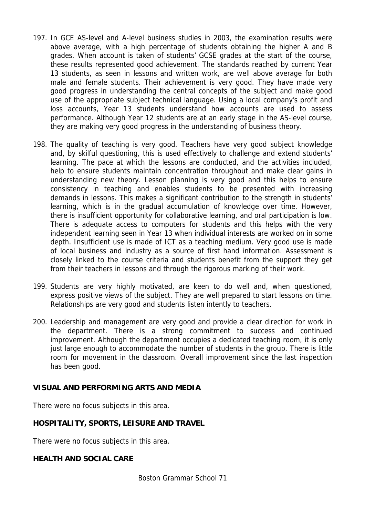- 197. In GCE AS-level and A-level business studies in 2003, the examination results were above average, with a high percentage of students obtaining the higher A and B grades. When account is taken of students' GCSE grades at the start of the course, these results represented good achievement. The standards reached by current Year 13 students, as seen in lessons and written work, are well above average for both male and female students. Their achievement is very good. They have made very good progress in understanding the central concepts of the subject and make good use of the appropriate subject technical language. Using a local company's profit and loss accounts, Year 13 students understand how accounts are used to assess performance. Although Year 12 students are at an early stage in the AS-level course, they are making very good progress in the understanding of business theory.
- 198. The quality of teaching is very good. Teachers have very good subject knowledge and, by skilful questioning, this is used effectively to challenge and extend students' learning. The pace at which the lessons are conducted, and the activities included, help to ensure students maintain concentration throughout and make clear gains in understanding new theory. Lesson planning is very good and this helps to ensure consistency in teaching and enables students to be presented with increasing demands in lessons. This makes a significant contribution to the strength in students' learning, which is in the gradual accumulation of knowledge over time. However, there is insufficient opportunity for collaborative learning, and oral participation is low. There is adequate access to computers for students and this helps with the very independent learning seen in Year 13 when individual interests are worked on in some depth. Insufficient use is made of ICT as a teaching medium. Very good use is made of local business and industry as a source of first hand information. Assessment is closely linked to the course criteria and students benefit from the support they get from their teachers in lessons and through the rigorous marking of their work.
- 199. Students are very highly motivated, are keen to do well and, when questioned, express positive views of the subject. They are well prepared to start lessons on time. Relationships are very good and students listen intently to teachers.
- 200. Leadership and management are very good and provide a clear direction for work in the department. There is a strong commitment to success and continued improvement. Although the department occupies a dedicated teaching room, it is only just large enough to accommodate the number of students in the group. There is little room for movement in the classroom. Overall improvement since the last inspection has been good.

## **VISUAL AND PERFORMING ARTS AND MEDIA**

There were no focus subjects in this area.

## **HOSPITALITY, SPORTS, LEISURE AND TRAVEL**

There were no focus subjects in this area.

### **HEALTH AND SOCIAL CARE**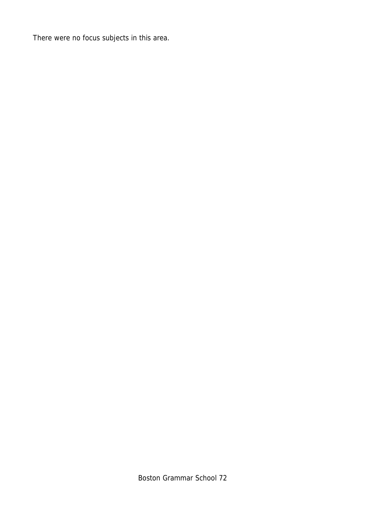There were no focus subjects in this area.